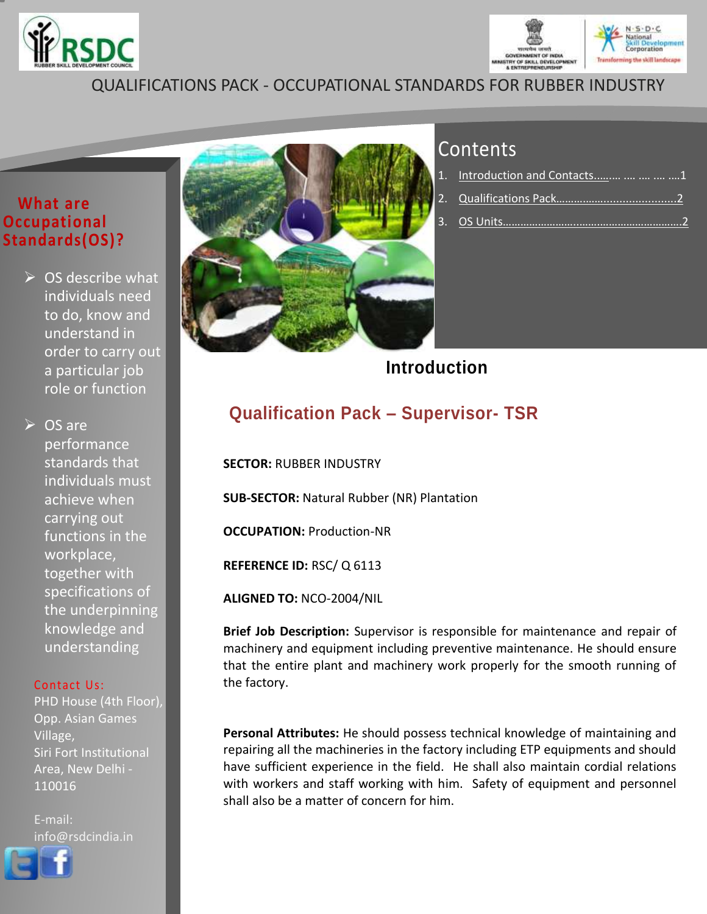



## QUALIFICATIONS PACK - OCCUPATIONAL STANDARDS FOR RUBBER INDUSTRY

### **What are Occupational Standards(OS)?**

 $\triangleright$  OS describe what individuals need to do, know and understand in order to carry out a particular job role or function

**► OS are** performance standards that individuals must achieve when carrying out functions in the workplace, together with specifications of the underpinning knowledge and understanding

### Contact Us:

PHD House (4th Floor), Opp. Asian Games Village, Siri Fort Institutional Area, New Delhi - 110016

E-mail: info@rsdcindia.in





# **Contents**

| 1. Introduction and Contacts     1 |
|------------------------------------|
|                                    |
|                                    |

**Introduction**

## <span id="page-0-0"></span>**Qualification Pack – Supervisor- TSR**

**SECTOR:** RUBBER INDUSTRY

**SUB-SECTOR:** Natural Rubber (NR) Plantation

**OCCUPATION:** Production-NR

**REFERENCE ID:** RSC/ Q 6113

**ALIGNED TO:** NCO-2004/NIL

**Brief Job Description:** Supervisor is responsible for maintenance and repair of machinery and equipment including preventive maintenance. He should ensure that the entire plant and machinery work properly for the smooth running of the factory.

**Personal Attributes:** He should possess technical knowledge of maintaining and repairing all the machineries in the factory including ETP equipments and should have sufficient experience in the field. He shall also maintain cordial relations with workers and staff working with him. Safety of equipment and personnel shall also be a matter of concern for him.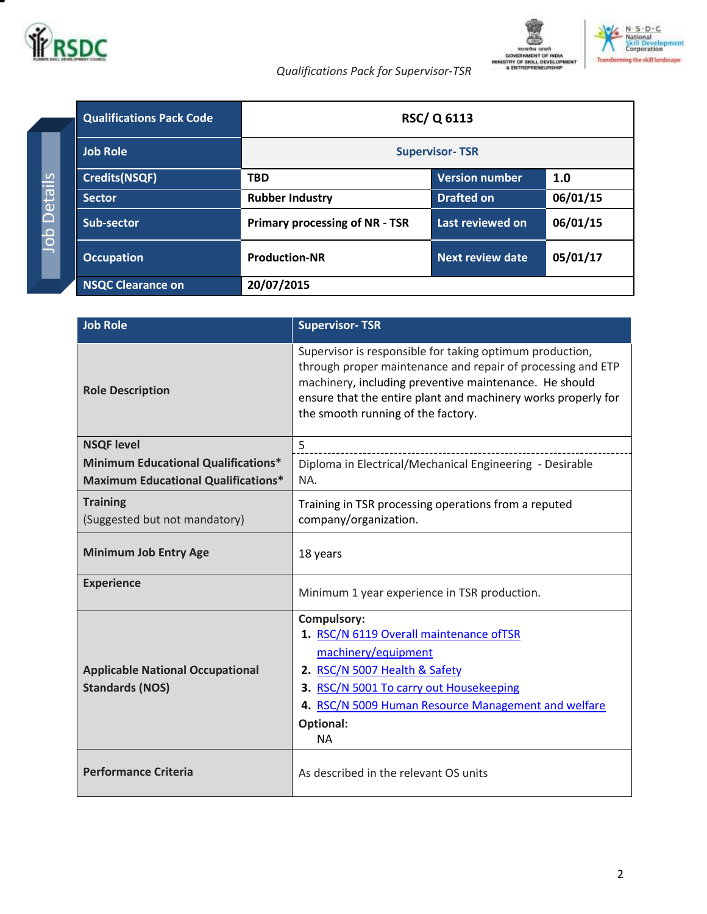

*Qualifications Pack for Supervisor-TSR*



<span id="page-1-0"></span>

|                                             | <b>Qualifications Pack Code</b> |                                       | <b>RSC/Q 6113</b>       |          |
|---------------------------------------------|---------------------------------|---------------------------------------|-------------------------|----------|
| ်<br>Detail<br>$\mathbf{\Omega}$<br>$\circ$ | <b>Job Role</b>                 | <b>Supervisor-TSR</b>                 |                         |          |
|                                             | <b>Credits(NSQF)</b>            | <b>TBD</b>                            | Version number          | 1.0      |
|                                             | <b>Sector</b>                   | <b>Rubber Industry</b>                | <b>Drafted on</b>       | 06/01/15 |
|                                             | Sub-sector                      | <b>Primary processing of NR - TSR</b> | Last reviewed on        | 06/01/15 |
|                                             | <b>Occupation</b>               | <b>Production-NR</b>                  | <b>Next review date</b> | 05/01/17 |
|                                             | <b>NSQC Clearance on</b>        | 20/07/2015                            |                         |          |

| <b>Job Role</b>                                                                          | <b>Supervisor-TSR</b>                                                                                                                                                                                                                                                                    |
|------------------------------------------------------------------------------------------|------------------------------------------------------------------------------------------------------------------------------------------------------------------------------------------------------------------------------------------------------------------------------------------|
| <b>Role Description</b>                                                                  | Supervisor is responsible for taking optimum production,<br>through proper maintenance and repair of processing and ETP<br>machinery, including preventive maintenance. He should<br>ensure that the entire plant and machinery works properly for<br>the smooth running of the factory. |
| <b>NSQF level</b>                                                                        | 5                                                                                                                                                                                                                                                                                        |
| <b>Minimum Educational Qualifications*</b><br><b>Maximum Educational Qualifications*</b> | Diploma in Electrical/Mechanical Engineering - Desirable<br>NA.                                                                                                                                                                                                                          |
| <b>Training</b><br>(Suggested but not mandatory)                                         | Training in TSR processing operations from a reputed<br>company/organization.                                                                                                                                                                                                            |
| <b>Minimum Job Entry Age</b>                                                             | 18 years                                                                                                                                                                                                                                                                                 |
| <b>Experience</b>                                                                        | Minimum 1 year experience in TSR production.                                                                                                                                                                                                                                             |
| <b>Applicable National Occupational</b><br><b>Standards (NOS)</b>                        | Compulsory:<br>1. RSC/N 6119 Overall maintenance ofTSR<br>machinery/equipment<br>2. RSC/N 5007 Health & Safety<br>3. RSC/N 5001 To carry out Housekeeping<br>4. RSC/N 5009 Human Resource Management and welfare<br><b>Optional:</b><br><b>NA</b>                                        |
| <b>Performance Criteria</b>                                                              | As described in the relevant OS units                                                                                                                                                                                                                                                    |

2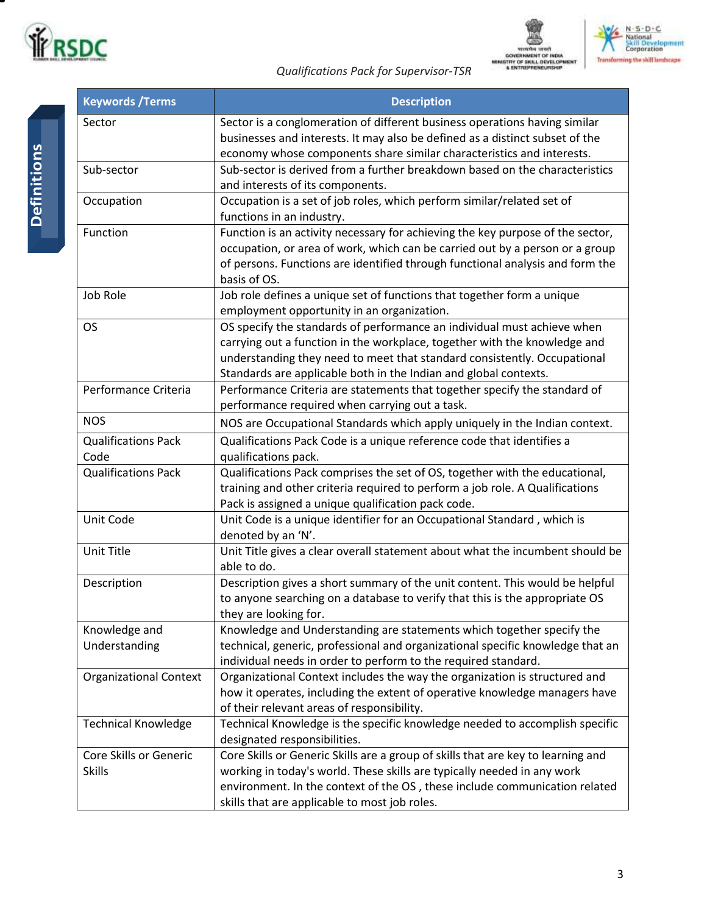





*Qualifications Pack for Supervisor-TSR*

т

| <b>Keywords / Terms</b>                 | <b>Description</b>                                                                                                                                                                                                                                                                                   |  |  |
|-----------------------------------------|------------------------------------------------------------------------------------------------------------------------------------------------------------------------------------------------------------------------------------------------------------------------------------------------------|--|--|
| Sector                                  | Sector is a conglomeration of different business operations having similar<br>businesses and interests. It may also be defined as a distinct subset of the<br>economy whose components share similar characteristics and interests.                                                                  |  |  |
| Sub-sector                              | Sub-sector is derived from a further breakdown based on the characteristics<br>and interests of its components.                                                                                                                                                                                      |  |  |
| Occupation                              | Occupation is a set of job roles, which perform similar/related set of<br>functions in an industry.                                                                                                                                                                                                  |  |  |
| Function                                | Function is an activity necessary for achieving the key purpose of the sector,<br>occupation, or area of work, which can be carried out by a person or a group<br>of persons. Functions are identified through functional analysis and form the<br>basis of OS.                                      |  |  |
| Job Role                                | Job role defines a unique set of functions that together form a unique<br>employment opportunity in an organization.                                                                                                                                                                                 |  |  |
| <b>OS</b>                               | OS specify the standards of performance an individual must achieve when<br>carrying out a function in the workplace, together with the knowledge and<br>understanding they need to meet that standard consistently. Occupational<br>Standards are applicable both in the Indian and global contexts. |  |  |
| Performance Criteria                    | Performance Criteria are statements that together specify the standard of<br>performance required when carrying out a task.                                                                                                                                                                          |  |  |
| <b>NOS</b>                              | NOS are Occupational Standards which apply uniquely in the Indian context.                                                                                                                                                                                                                           |  |  |
| <b>Qualifications Pack</b><br>Code      | Qualifications Pack Code is a unique reference code that identifies a<br>qualifications pack.                                                                                                                                                                                                        |  |  |
| <b>Qualifications Pack</b>              | Qualifications Pack comprises the set of OS, together with the educational,<br>training and other criteria required to perform a job role. A Qualifications<br>Pack is assigned a unique qualification pack code.                                                                                    |  |  |
| Unit Code                               | Unit Code is a unique identifier for an Occupational Standard, which is<br>denoted by an 'N'.                                                                                                                                                                                                        |  |  |
| Unit Title                              | Unit Title gives a clear overall statement about what the incumbent should be<br>able to do.                                                                                                                                                                                                         |  |  |
| Description                             | Description gives a short summary of the unit content. This would be helpful<br>to anyone searching on a database to verify that this is the appropriate OS<br>they are looking for.                                                                                                                 |  |  |
| Knowledge and<br>Understanding          | Knowledge and Understanding are statements which together specify the<br>technical, generic, professional and organizational specific knowledge that an<br>individual needs in order to perform to the required standard.                                                                            |  |  |
| <b>Organizational Context</b>           | Organizational Context includes the way the organization is structured and<br>how it operates, including the extent of operative knowledge managers have<br>of their relevant areas of responsibility.                                                                                               |  |  |
| <b>Technical Knowledge</b>              | Technical Knowledge is the specific knowledge needed to accomplish specific<br>designated responsibilities.                                                                                                                                                                                          |  |  |
| Core Skills or Generic<br><b>Skills</b> | Core Skills or Generic Skills are a group of skills that are key to learning and<br>working in today's world. These skills are typically needed in any work<br>environment. In the context of the OS, these include communication related<br>skills that are applicable to most job roles.           |  |  |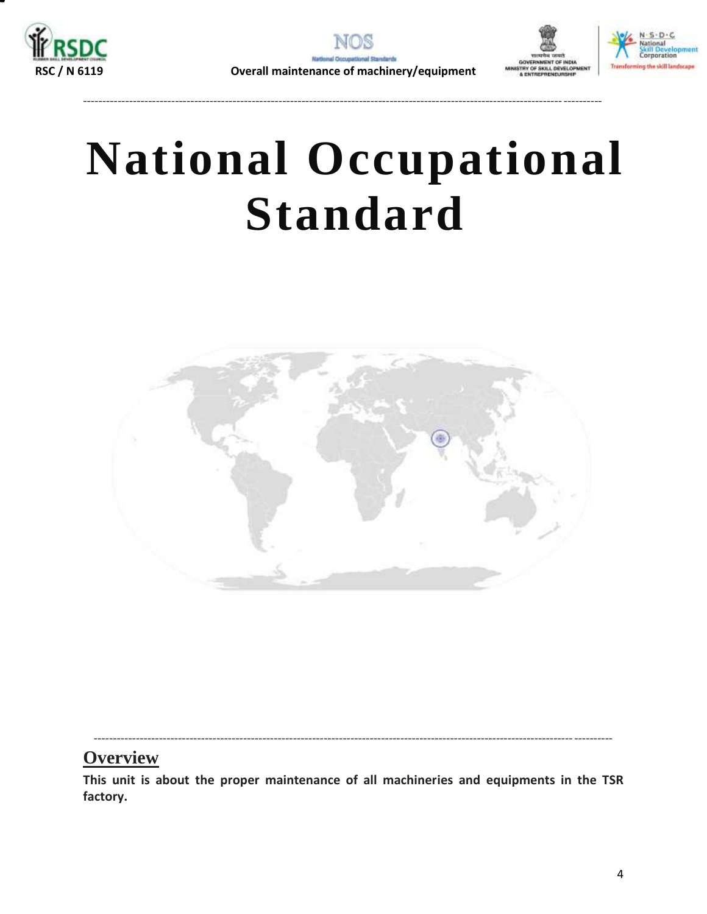





---------------------------------------------------------------------------------------------------------------------------------------

# **National Occupational Standard**

<span id="page-3-0"></span>

---------------------------------------------------------------------------------------------------------------------------------------

### **Overview**

**This unit is about the proper maintenance of all machineries and equipments in the TSR factory.**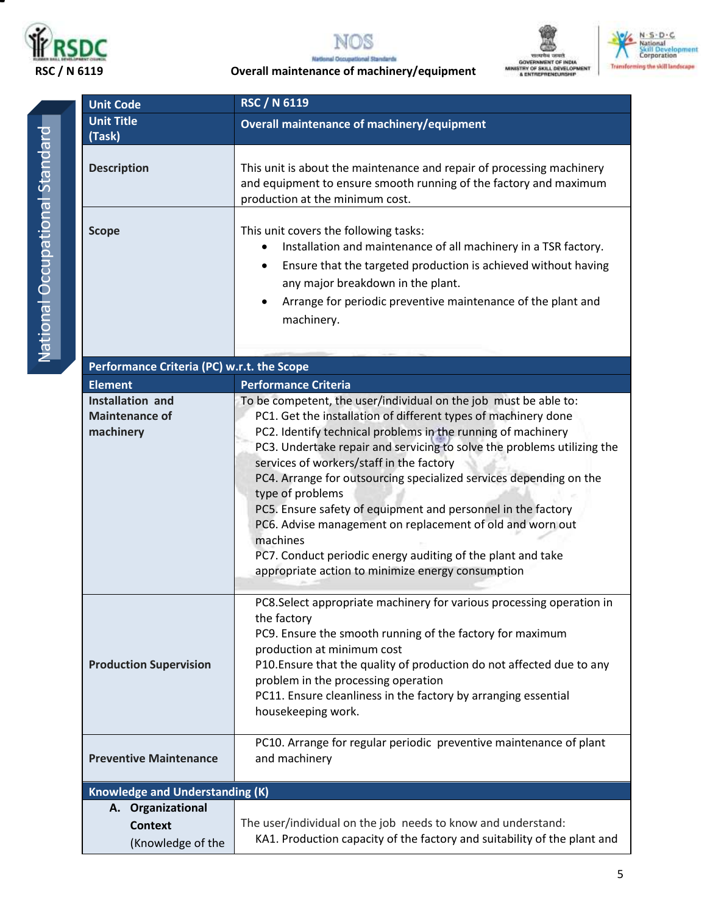









 **RSC / N 6119 Overall maintenance of machinery/equipment**

**Unit Code RSC / N 6119**

| <b>Unit Code</b>                                              | <b>RSC / N 6119</b>                                                                                                                                                                                                                                                                                                                                                                                                                                                                                                                                                                                                                                                              |  |
|---------------------------------------------------------------|----------------------------------------------------------------------------------------------------------------------------------------------------------------------------------------------------------------------------------------------------------------------------------------------------------------------------------------------------------------------------------------------------------------------------------------------------------------------------------------------------------------------------------------------------------------------------------------------------------------------------------------------------------------------------------|--|
| <b>Unit Title</b>                                             | <b>Overall maintenance of machinery/equipment</b>                                                                                                                                                                                                                                                                                                                                                                                                                                                                                                                                                                                                                                |  |
| (Task)                                                        |                                                                                                                                                                                                                                                                                                                                                                                                                                                                                                                                                                                                                                                                                  |  |
| <b>Description</b>                                            | This unit is about the maintenance and repair of processing machinery<br>and equipment to ensure smooth running of the factory and maximum<br>production at the minimum cost.                                                                                                                                                                                                                                                                                                                                                                                                                                                                                                    |  |
| <b>Scope</b>                                                  | This unit covers the following tasks:<br>Installation and maintenance of all machinery in a TSR factory.<br>$\bullet$<br>Ensure that the targeted production is achieved without having<br>٠<br>any major breakdown in the plant.<br>Arrange for periodic preventive maintenance of the plant and<br>$\bullet$<br>machinery.                                                                                                                                                                                                                                                                                                                                                     |  |
| Performance Criteria (PC) w.r.t. the Scope                    |                                                                                                                                                                                                                                                                                                                                                                                                                                                                                                                                                                                                                                                                                  |  |
| <b>Element</b>                                                | <b>Performance Criteria</b>                                                                                                                                                                                                                                                                                                                                                                                                                                                                                                                                                                                                                                                      |  |
| <b>Installation and</b><br><b>Maintenance of</b><br>machinery | To be competent, the user/individual on the job must be able to:<br>PC1. Get the installation of different types of machinery done<br>PC2. Identify technical problems in the running of machinery<br>PC3. Undertake repair and servicing to solve the problems utilizing the<br>services of workers/staff in the factory<br>PC4. Arrange for outsourcing specialized services depending on the<br>type of problems<br>PC5. Ensure safety of equipment and personnel in the factory<br>PC6. Advise management on replacement of old and worn out<br>machines<br>PC7. Conduct periodic energy auditing of the plant and take<br>appropriate action to minimize energy consumption |  |
| <b>Production Supervision</b>                                 | PC8.Select appropriate machinery for various processing operation in<br>the factory<br>PC9. Ensure the smooth running of the factory for maximum<br>production at minimum cost<br>P10. Ensure that the quality of production do not affected due to any<br>problem in the processing operation<br>PC11. Ensure cleanliness in the factory by arranging essential<br>housekeeping work.                                                                                                                                                                                                                                                                                           |  |
| <b>Preventive Maintenance</b>                                 | PC10. Arrange for regular periodic preventive maintenance of plant<br>and machinery                                                                                                                                                                                                                                                                                                                                                                                                                                                                                                                                                                                              |  |
| <b>Knowledge and Understanding (K)</b>                        |                                                                                                                                                                                                                                                                                                                                                                                                                                                                                                                                                                                                                                                                                  |  |
| A. Organizational<br><b>Context</b><br>(Knowledge of the      | The user/individual on the job needs to know and understand:<br>KA1. Production capacity of the factory and suitability of the plant and                                                                                                                                                                                                                                                                                                                                                                                                                                                                                                                                         |  |

National Occupational Standard National Occupational Standard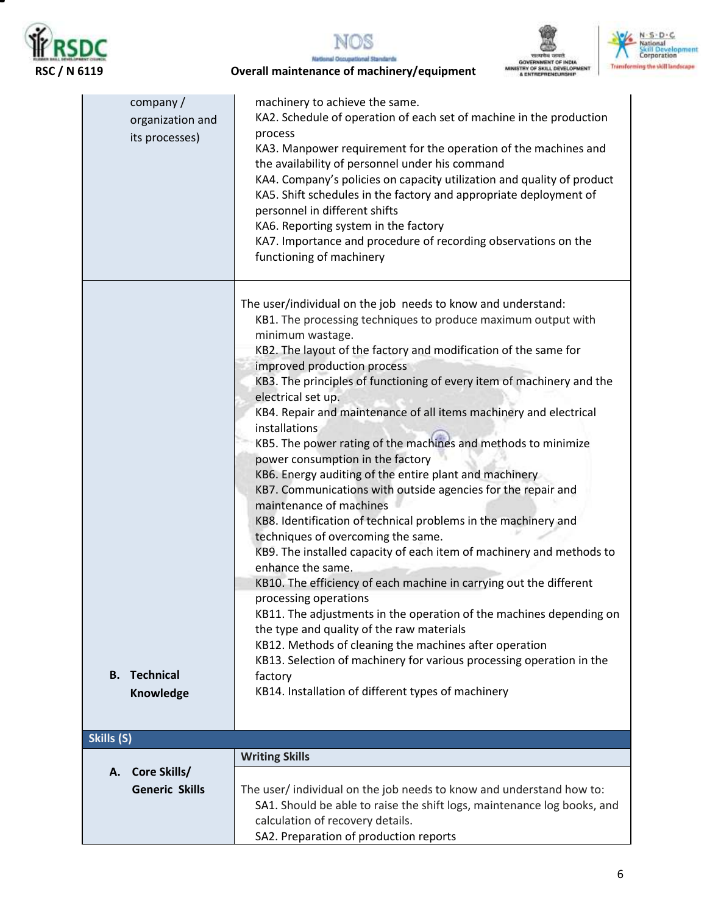

▀







### **RSC / N 6119 Overall maintenance of machinery/equipment**

| company/<br>organization and<br>its processes) | machinery to achieve the same.<br>KA2. Schedule of operation of each set of machine in the production<br>process<br>KA3. Manpower requirement for the operation of the machines and<br>the availability of personnel under his command<br>KA4. Company's policies on capacity utilization and quality of product<br>KA5. Shift schedules in the factory and appropriate deployment of<br>personnel in different shifts<br>KA6. Reporting system in the factory<br>KA7. Importance and procedure of recording observations on the<br>functioning of machinery                                                                                                                                                                                                                                                                                                                                                                                                                                                                                                                                                                                                                                                                                                                                                                  |
|------------------------------------------------|-------------------------------------------------------------------------------------------------------------------------------------------------------------------------------------------------------------------------------------------------------------------------------------------------------------------------------------------------------------------------------------------------------------------------------------------------------------------------------------------------------------------------------------------------------------------------------------------------------------------------------------------------------------------------------------------------------------------------------------------------------------------------------------------------------------------------------------------------------------------------------------------------------------------------------------------------------------------------------------------------------------------------------------------------------------------------------------------------------------------------------------------------------------------------------------------------------------------------------------------------------------------------------------------------------------------------------|
| <b>B.</b> Technical<br>Knowledge               | The user/individual on the job needs to know and understand:<br>KB1. The processing techniques to produce maximum output with<br>minimum wastage.<br>KB2. The layout of the factory and modification of the same for<br>improved production process<br>KB3. The principles of functioning of every item of machinery and the<br>electrical set up.<br>KB4. Repair and maintenance of all items machinery and electrical<br>installations<br>KB5. The power rating of the machines and methods to minimize<br>power consumption in the factory<br>KB6. Energy auditing of the entire plant and machinery<br>KB7. Communications with outside agencies for the repair and<br>maintenance of machines<br>KB8. Identification of technical problems in the machinery and<br>techniques of overcoming the same.<br>KB9. The installed capacity of each item of machinery and methods to<br>enhance the same.<br>KB10. The efficiency of each machine in carrying out the different<br>processing operations<br>KB11. The adjustments in the operation of the machines depending on<br>the type and quality of the raw materials<br>KB12. Methods of cleaning the machines after operation<br>KB13. Selection of machinery for various processing operation in the<br>factory<br>KB14. Installation of different types of machinery |
| Skills (S)                                     |                                                                                                                                                                                                                                                                                                                                                                                                                                                                                                                                                                                                                                                                                                                                                                                                                                                                                                                                                                                                                                                                                                                                                                                                                                                                                                                               |
| Core Skills/<br>Α.<br><b>Generic Skills</b>    | <b>Writing Skills</b><br>The user/individual on the job needs to know and understand how to:<br>SA1. Should be able to raise the shift logs, maintenance log books, and<br>calculation of recovery details.<br>SA2. Preparation of production reports                                                                                                                                                                                                                                                                                                                                                                                                                                                                                                                                                                                                                                                                                                                                                                                                                                                                                                                                                                                                                                                                         |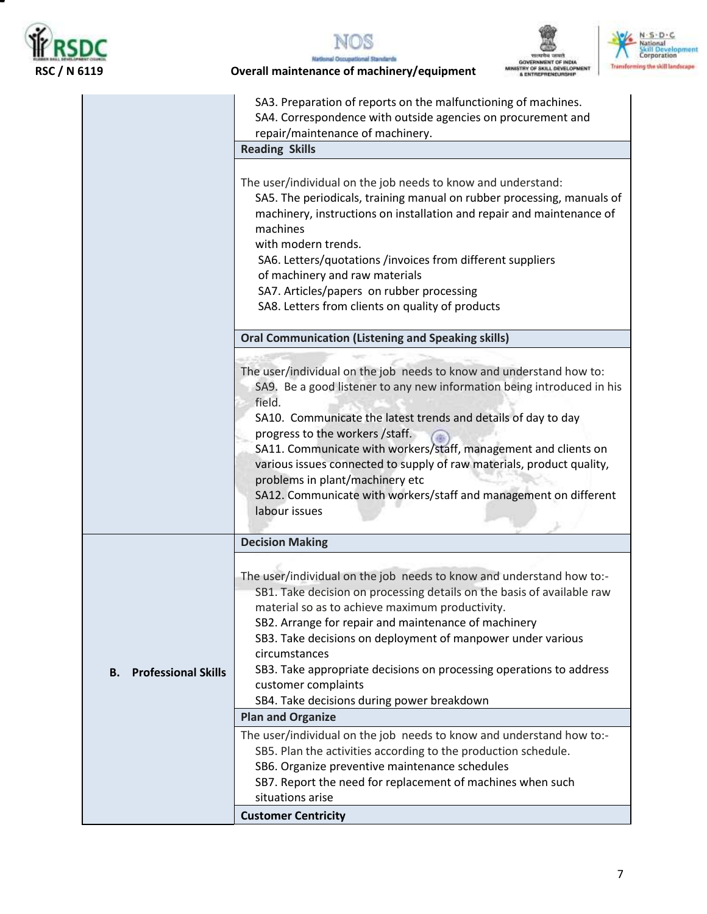

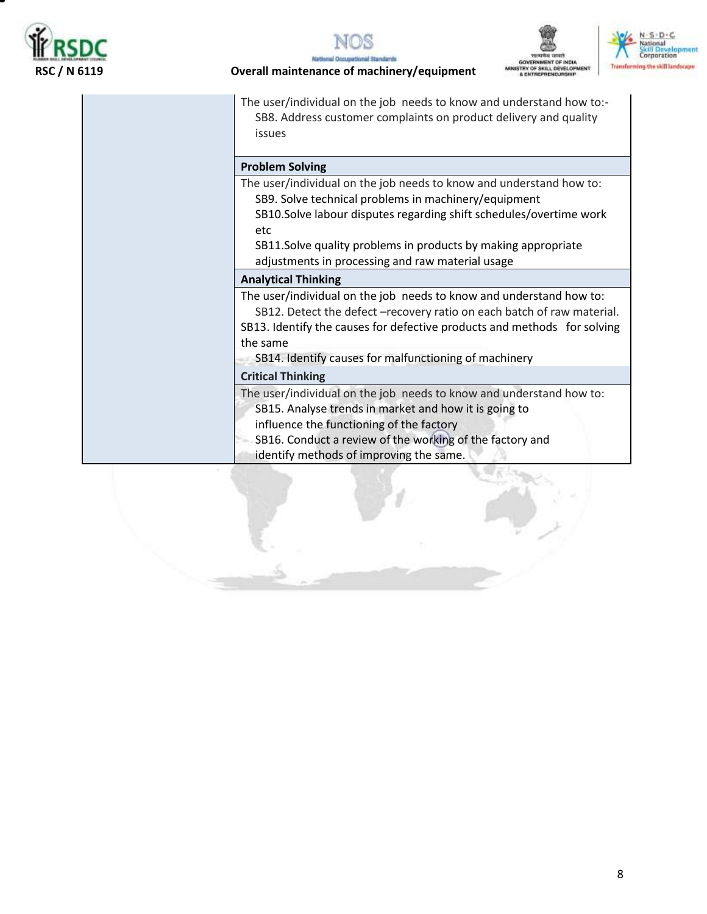







**Overall maintenance of machinery/equipment** 

The user/individual on the job needs to know and understand how to:- SB8. Address customer complaints on product delivery and quality issues

#### **Problem Solving**

The user/individual on the job needs to know and understand how to: SB9. Solve technical problems in machinery/equipment

SB10.Solve labour disputes regarding shift schedules/overtime work etc

SB11.Solve quality problems in products by making appropriate adjustments in processing and raw material usage

#### **Analytical Thinking**

The user/individual on the job needs to know and understand how to:

SB12. Detect the defect –recovery ratio on each batch of raw material. SB13. Identify the causes for defective products and methods for solving the same

SB14. Identify causes for malfunctioning of machinery

#### **Critical Thinking**

The user/individual on the job needs to know and understand how to:

- SB15. Analyse trends in market and how it is going to
- influence the functioning of the factory
- SB16. Conduct a review of the working of the factory and
- identify methods of improving the same.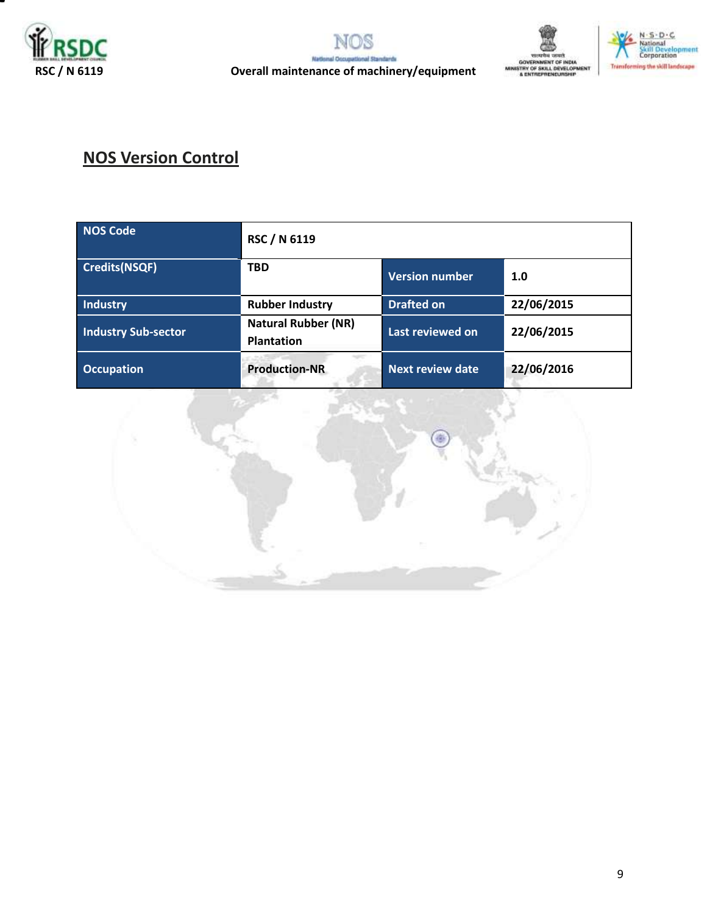







# **NOS Version Control**

| <b>NOS Code</b>            | RSC / N 6119                                    |                         |            |
|----------------------------|-------------------------------------------------|-------------------------|------------|
| <b>Credits(NSQF)</b>       | <b>TBD</b>                                      | <b>Version number</b>   | 1.0        |
| <b>Industry</b>            | <b>Rubber Industry</b>                          | <b>Drafted on</b>       | 22/06/2015 |
| <b>Industry Sub-sector</b> | <b>Natural Rubber (NR)</b><br><b>Plantation</b> | Last reviewed on        | 22/06/2015 |
| <b>Occupation</b>          | <b>Production-NR</b>                            | <b>Next review date</b> | 22/06/2016 |

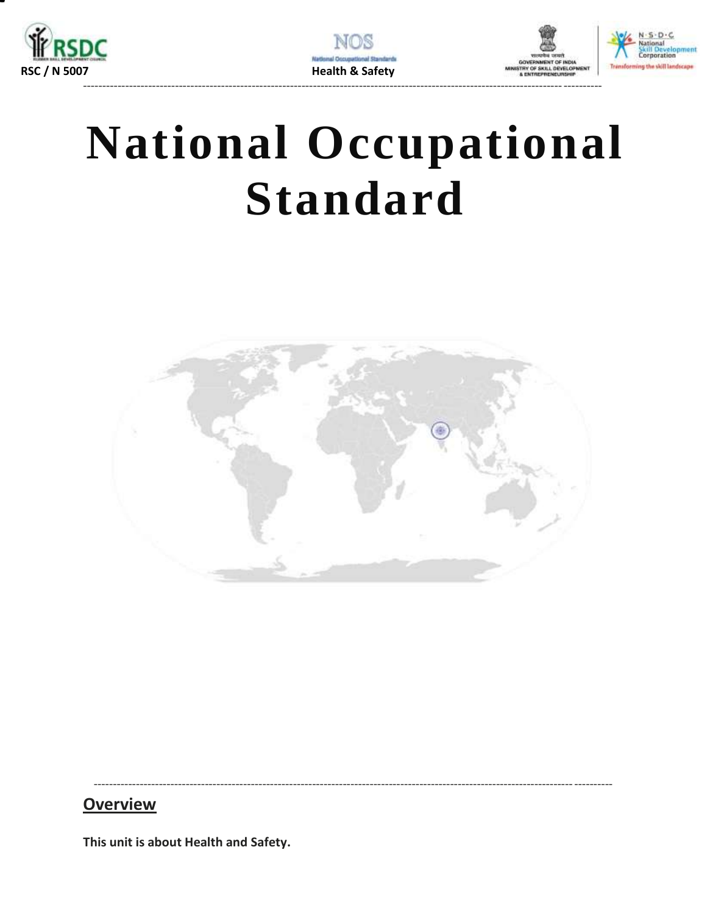







# **National Occupational Standard**

<span id="page-9-0"></span>

### **Overview**

This unit is about Health and Safety.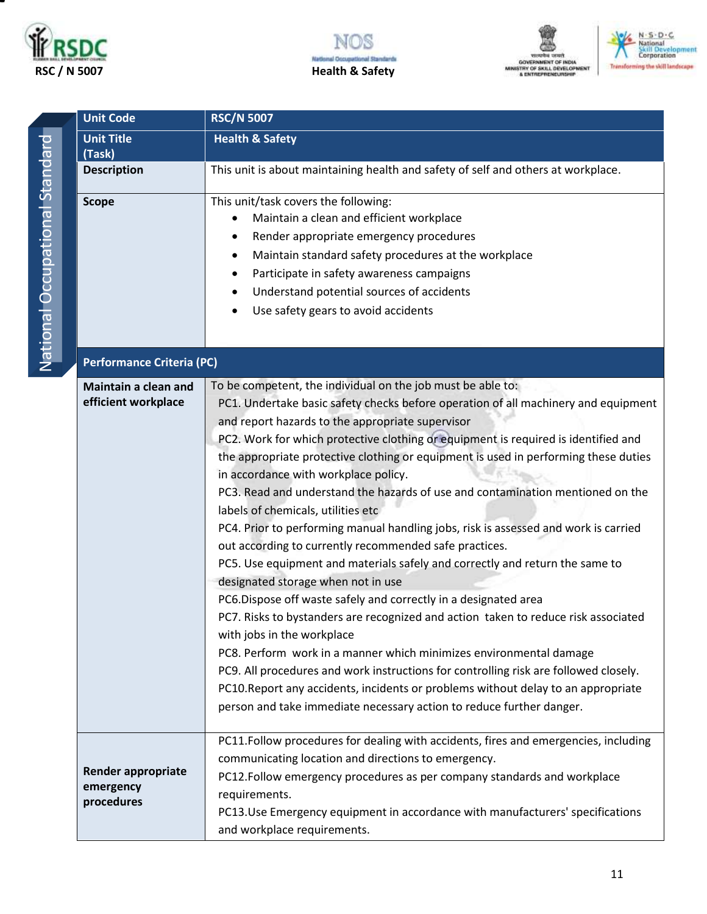







| <b>Unit Code</b>                                     | <b>RSC/N 5007</b>                                                                                                                                                                                                                                                                                                                                                                                                                                                                                                                                                                                                                                                                                                                                                                                                                                                                                                                                                                                                                                                                                                                                                                                                                                                                                                                           |  |  |
|------------------------------------------------------|---------------------------------------------------------------------------------------------------------------------------------------------------------------------------------------------------------------------------------------------------------------------------------------------------------------------------------------------------------------------------------------------------------------------------------------------------------------------------------------------------------------------------------------------------------------------------------------------------------------------------------------------------------------------------------------------------------------------------------------------------------------------------------------------------------------------------------------------------------------------------------------------------------------------------------------------------------------------------------------------------------------------------------------------------------------------------------------------------------------------------------------------------------------------------------------------------------------------------------------------------------------------------------------------------------------------------------------------|--|--|
| <b>Unit Title</b><br>(Task)                          | <b>Health &amp; Safety</b>                                                                                                                                                                                                                                                                                                                                                                                                                                                                                                                                                                                                                                                                                                                                                                                                                                                                                                                                                                                                                                                                                                                                                                                                                                                                                                                  |  |  |
| <b>Description</b>                                   | This unit is about maintaining health and safety of self and others at workplace.                                                                                                                                                                                                                                                                                                                                                                                                                                                                                                                                                                                                                                                                                                                                                                                                                                                                                                                                                                                                                                                                                                                                                                                                                                                           |  |  |
| <b>Scope</b>                                         | This unit/task covers the following:<br>Maintain a clean and efficient workplace<br>Render appropriate emergency procedures<br>Maintain standard safety procedures at the workplace<br>Participate in safety awareness campaigns<br>Understand potential sources of accidents<br>Use safety gears to avoid accidents                                                                                                                                                                                                                                                                                                                                                                                                                                                                                                                                                                                                                                                                                                                                                                                                                                                                                                                                                                                                                        |  |  |
| <b>Performance Criteria (PC)</b>                     |                                                                                                                                                                                                                                                                                                                                                                                                                                                                                                                                                                                                                                                                                                                                                                                                                                                                                                                                                                                                                                                                                                                                                                                                                                                                                                                                             |  |  |
| <b>Maintain a clean and</b><br>efficient workplace   | To be competent, the individual on the job must be able to:<br>PC1. Undertake basic safety checks before operation of all machinery and equipment<br>and report hazards to the appropriate supervisor<br>PC2. Work for which protective clothing or equipment is required is identified and<br>the appropriate protective clothing or equipment is used in performing these duties<br>in accordance with workplace policy.<br>PC3. Read and understand the hazards of use and contamination mentioned on the<br>labels of chemicals, utilities etc<br>PC4. Prior to performing manual handling jobs, risk is assessed and work is carried<br>out according to currently recommended safe practices.<br>PC5. Use equipment and materials safely and correctly and return the same to<br>designated storage when not in use<br>PC6.Dispose off waste safely and correctly in a designated area<br>PC7. Risks to bystanders are recognized and action taken to reduce risk associated<br>with jobs in the workplace<br>PC8. Perform work in a manner which minimizes environmental damage<br>PC9. All procedures and work instructions for controlling risk are followed closely.<br>PC10. Report any accidents, incidents or problems without delay to an appropriate<br>person and take immediate necessary action to reduce further danger. |  |  |
| <b>Render appropriate</b><br>emergency<br>procedures | PC11.Follow procedures for dealing with accidents, fires and emergencies, including<br>communicating location and directions to emergency.<br>PC12.Follow emergency procedures as per company standards and workplace<br>requirements.<br>PC13.Use Emergency equipment in accordance with manufacturers' specifications<br>and workplace requirements.                                                                                                                                                                                                                                                                                                                                                                                                                                                                                                                                                                                                                                                                                                                                                                                                                                                                                                                                                                                      |  |  |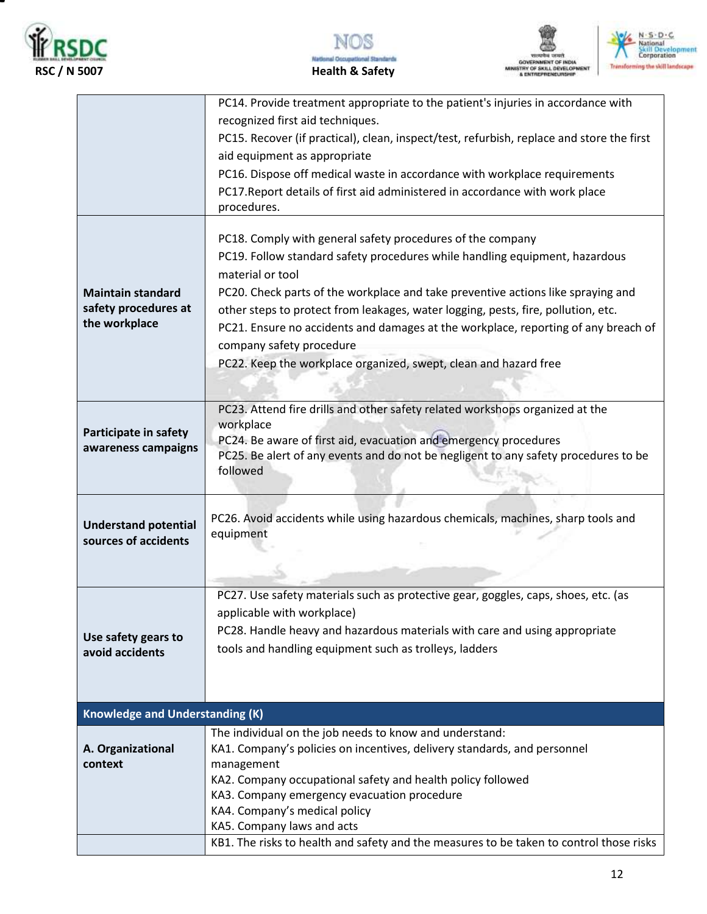







|                                                                   | PC14. Provide treatment appropriate to the patient's injuries in accordance with<br>recognized first aid techniques.<br>PC15. Recover (if practical), clean, inspect/test, refurbish, replace and store the first<br>aid equipment as appropriate<br>PC16. Dispose off medical waste in accordance with workplace requirements<br>PC17. Report details of first aid administered in accordance with work place<br>procedures.                                                                                                |
|-------------------------------------------------------------------|------------------------------------------------------------------------------------------------------------------------------------------------------------------------------------------------------------------------------------------------------------------------------------------------------------------------------------------------------------------------------------------------------------------------------------------------------------------------------------------------------------------------------|
| <b>Maintain standard</b><br>safety procedures at<br>the workplace | PC18. Comply with general safety procedures of the company<br>PC19. Follow standard safety procedures while handling equipment, hazardous<br>material or tool<br>PC20. Check parts of the workplace and take preventive actions like spraying and<br>other steps to protect from leakages, water logging, pests, fire, pollution, etc.<br>PC21. Ensure no accidents and damages at the workplace, reporting of any breach of<br>company safety procedure<br>PC22. Keep the workplace organized, swept, clean and hazard free |
| Participate in safety<br>awareness campaigns                      | PC23. Attend fire drills and other safety related workshops organized at the<br>workplace<br>PC24. Be aware of first aid, evacuation and emergency procedures<br>PC25. Be alert of any events and do not be negligent to any safety procedures to be<br>followed                                                                                                                                                                                                                                                             |
| <b>Understand potential</b><br>sources of accidents               | PC26. Avoid accidents while using hazardous chemicals, machines, sharp tools and<br>equipment                                                                                                                                                                                                                                                                                                                                                                                                                                |
| Use safety gears to<br>avoid accidents                            | PC27. Use safety materials such as protective gear, goggles, caps, shoes, etc. (as<br>applicable with workplace)<br>PC28. Handle heavy and hazardous materials with care and using appropriate<br>tools and handling equipment such as trolleys, ladders                                                                                                                                                                                                                                                                     |
| <b>Knowledge and Understanding (K)</b>                            |                                                                                                                                                                                                                                                                                                                                                                                                                                                                                                                              |
| A. Organizational<br>context                                      | The individual on the job needs to know and understand:<br>KA1. Company's policies on incentives, delivery standards, and personnel<br>management<br>KA2. Company occupational safety and health policy followed<br>KA3. Company emergency evacuation procedure<br>KA4. Company's medical policy                                                                                                                                                                                                                             |
|                                                                   | KA5. Company laws and acts<br>KB1. The risks to health and safety and the measures to be taken to control those risks                                                                                                                                                                                                                                                                                                                                                                                                        |
|                                                                   |                                                                                                                                                                                                                                                                                                                                                                                                                                                                                                                              |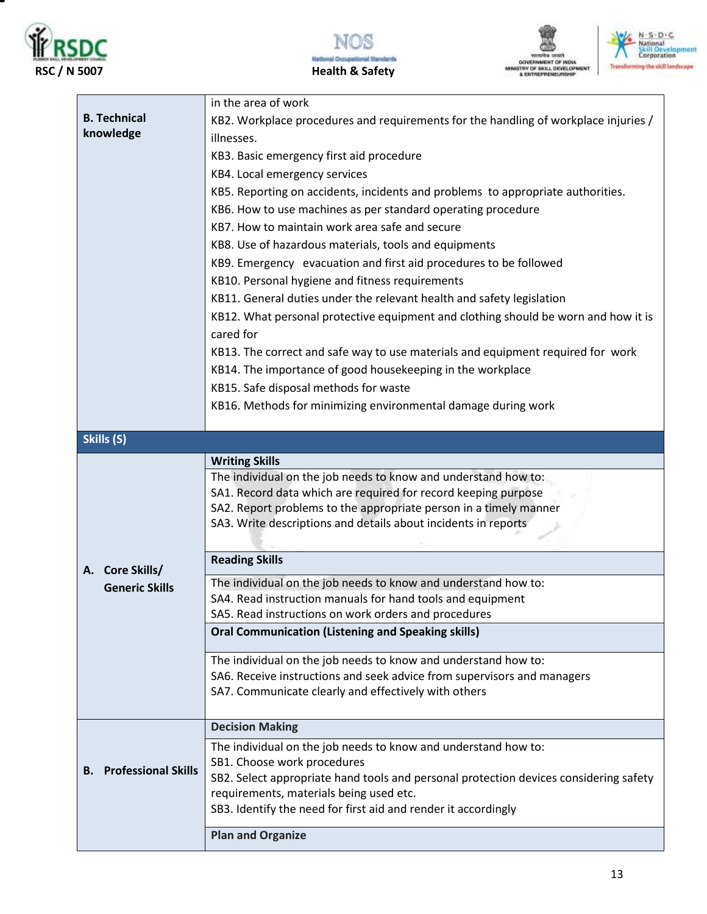

т







|                                  | in the area of work                                                                   |
|----------------------------------|---------------------------------------------------------------------------------------|
| <b>B. Technical</b>              | KB2. Workplace procedures and requirements for the handling of workplace injuries /   |
| knowledge                        |                                                                                       |
|                                  | illnesses.                                                                            |
|                                  | KB3. Basic emergency first aid procedure                                              |
|                                  | KB4. Local emergency services                                                         |
|                                  | KB5. Reporting on accidents, incidents and problems to appropriate authorities.       |
|                                  | KB6. How to use machines as per standard operating procedure                          |
|                                  | KB7. How to maintain work area safe and secure                                        |
|                                  | KB8. Use of hazardous materials, tools and equipments                                 |
|                                  | KB9. Emergency evacuation and first aid procedures to be followed                     |
|                                  | KB10. Personal hygiene and fitness requirements                                       |
|                                  | KB11. General duties under the relevant health and safety legislation                 |
|                                  |                                                                                       |
|                                  | KB12. What personal protective equipment and clothing should be worn and how it is    |
|                                  | cared for                                                                             |
|                                  | KB13. The correct and safe way to use materials and equipment required for work       |
|                                  | KB14. The importance of good housekeeping in the workplace                            |
|                                  | KB15. Safe disposal methods for waste                                                 |
|                                  | KB16. Methods for minimizing environmental damage during work                         |
|                                  |                                                                                       |
| Skills (S)                       |                                                                                       |
|                                  | <b>Writing Skills</b>                                                                 |
|                                  | The individual on the job needs to know and understand how to:                        |
|                                  | SA1. Record data which are required for record keeping purpose                        |
|                                  | SA2. Report problems to the appropriate person in a timely manner                     |
|                                  | SA3. Write descriptions and details about incidents in reports                        |
|                                  |                                                                                       |
|                                  | <b>Reading Skills</b>                                                                 |
| A. Core Skills/                  | The individual on the job needs to know and understand how to:                        |
| <b>Generic Skills</b>            | SA4. Read instruction manuals for hand tools and equipment                            |
|                                  | SA5. Read instructions on work orders and procedures                                  |
|                                  | <b>Oral Communication (Listening and Speaking skills)</b>                             |
|                                  |                                                                                       |
|                                  | The individual on the job needs to know and understand how to:                        |
|                                  | SA6. Receive instructions and seek advice from supervisors and managers               |
|                                  | SA7. Communicate clearly and effectively with others                                  |
|                                  |                                                                                       |
|                                  | <b>Decision Making</b>                                                                |
|                                  | The individual on the job needs to know and understand how to:                        |
|                                  | SB1. Choose work procedures                                                           |
| <b>Professional Skills</b><br>В. | SB2. Select appropriate hand tools and personal protection devices considering safety |
|                                  | requirements, materials being used etc.                                               |
|                                  | SB3. Identify the need for first aid and render it accordingly                        |
|                                  |                                                                                       |
|                                  | <b>Plan and Organize</b>                                                              |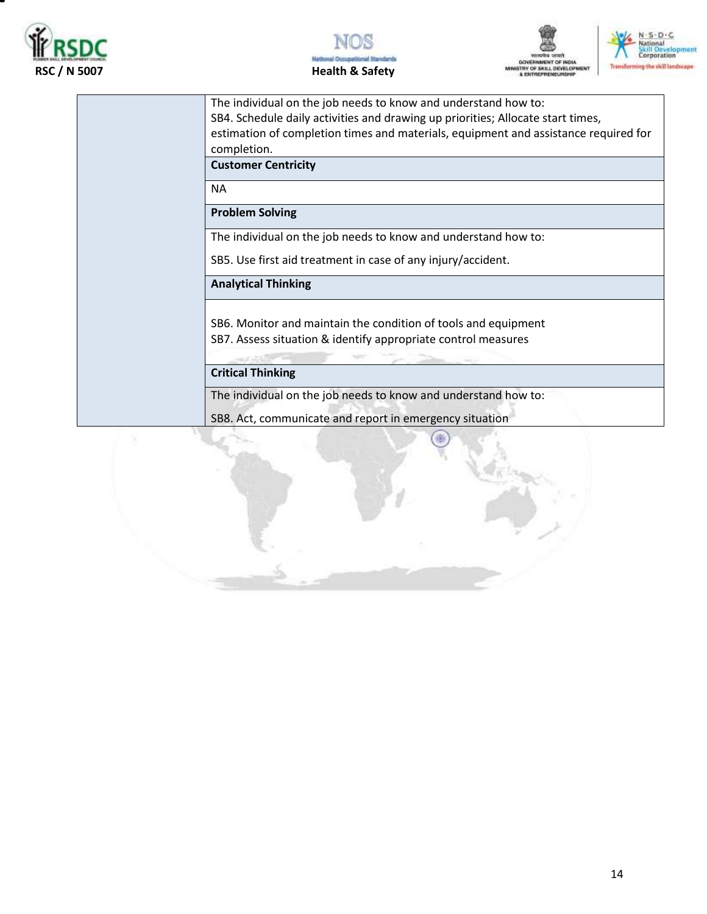







The individual on the job needs to know and understand how to: SB4. Schedule daily activities and drawing up priorities; Allocate start times, estimation of completion times and materials, equipment and assistance required for completion. **Customer Centricity** NA **Problem Solving** The individual on the job needs to know and understand how to: SB5. Use first aid treatment in case of any injury/accident. **Analytical Thinking** SB6. Monitor and maintain the condition of tools and equipment SB7. Assess situation & identify appropriate control measures **Critical Thinking** The individual on the job needs to know and understand how to: SB8. Act, communicate and report in emergency situation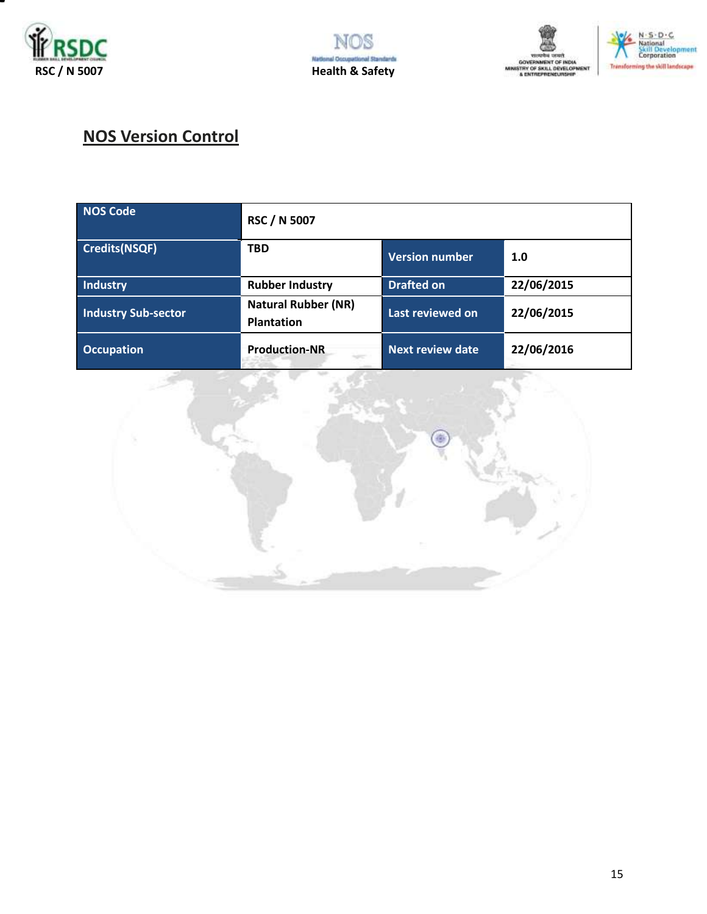







# **NOS Version Control**

| <b>NOS Code</b>            | <b>RSC / N 5007</b>                             |                       |            |
|----------------------------|-------------------------------------------------|-----------------------|------------|
| <b>Credits(NSQF)</b>       | <b>TBD</b>                                      | <b>Version number</b> | 1.0        |
| Industry                   | <b>Rubber Industry</b>                          | <b>Drafted on</b>     | 22/06/2015 |
| <b>Industry Sub-sector</b> | <b>Natural Rubber (NR)</b><br><b>Plantation</b> | Last reviewed on      | 22/06/2015 |
| <b>Occupation</b>          | <b>Production-NR</b><br>÷                       | Next review date      | 22/06/2016 |

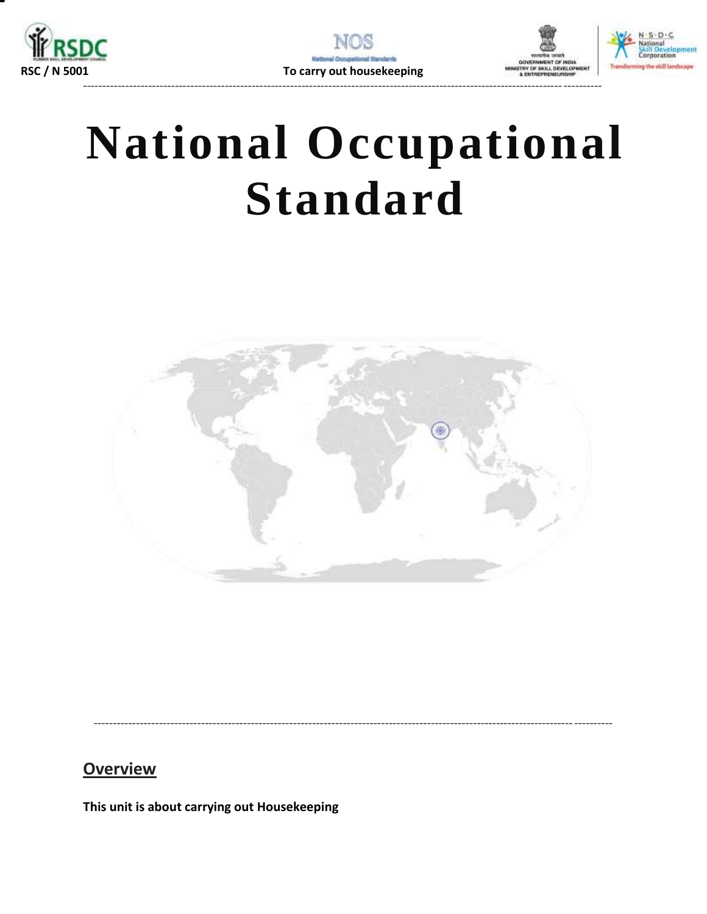





# **National Occupational Standard**

<span id="page-15-0"></span>

### **Overview**

This unit is about carrying out Housekeeping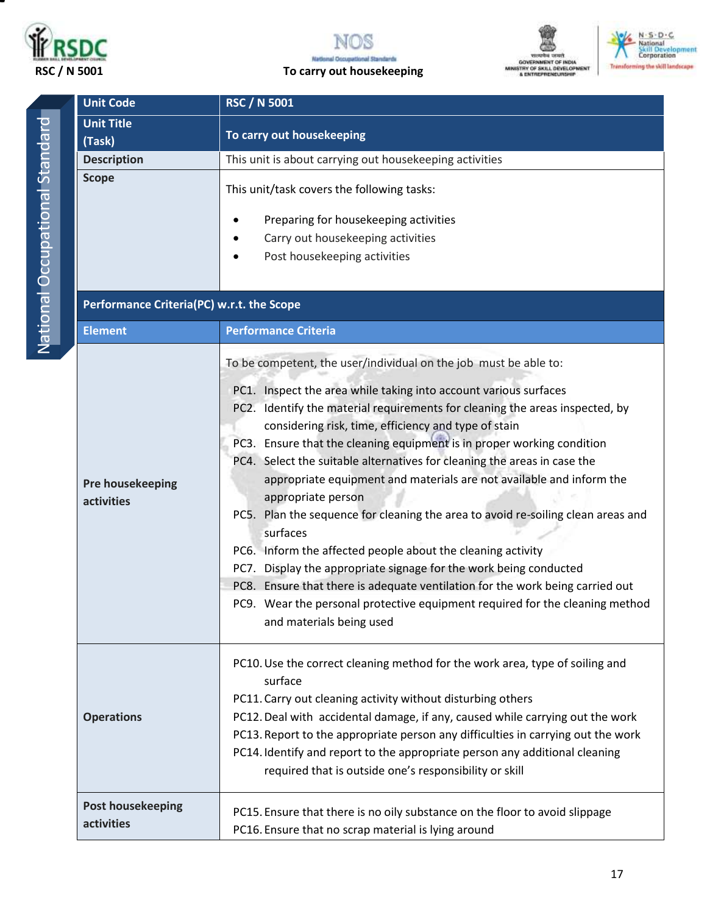



# **THE GOVERNMENT OF INDIA<br>GOVERNMENT OF INDIA<br>MINISTRY OF SKILL DEVELOPMENT<br>& ENTREPREMEURSHIP**



|  | <b>Unit Code</b>                          | <b>RSC / N 5001</b>                                                                                                                                                                                                                                                                                                                                                                                                                                                                                                                                                                                                                                                                                                                                                                                                                                                                                                                                               |  |  |  |
|--|-------------------------------------------|-------------------------------------------------------------------------------------------------------------------------------------------------------------------------------------------------------------------------------------------------------------------------------------------------------------------------------------------------------------------------------------------------------------------------------------------------------------------------------------------------------------------------------------------------------------------------------------------------------------------------------------------------------------------------------------------------------------------------------------------------------------------------------------------------------------------------------------------------------------------------------------------------------------------------------------------------------------------|--|--|--|
|  | <b>Unit Title</b><br>(Task)               | To carry out housekeeping                                                                                                                                                                                                                                                                                                                                                                                                                                                                                                                                                                                                                                                                                                                                                                                                                                                                                                                                         |  |  |  |
|  | <b>Description</b>                        | This unit is about carrying out housekeeping activities                                                                                                                                                                                                                                                                                                                                                                                                                                                                                                                                                                                                                                                                                                                                                                                                                                                                                                           |  |  |  |
|  | <b>Scope</b>                              | This unit/task covers the following tasks:<br>Preparing for housekeeping activities<br>Carry out housekeeping activities<br>Post housekeeping activities                                                                                                                                                                                                                                                                                                                                                                                                                                                                                                                                                                                                                                                                                                                                                                                                          |  |  |  |
|  | Performance Criteria(PC) w.r.t. the Scope |                                                                                                                                                                                                                                                                                                                                                                                                                                                                                                                                                                                                                                                                                                                                                                                                                                                                                                                                                                   |  |  |  |
|  | <b>Element</b>                            | <b>Performance Criteria</b>                                                                                                                                                                                                                                                                                                                                                                                                                                                                                                                                                                                                                                                                                                                                                                                                                                                                                                                                       |  |  |  |
|  | Pre housekeeping<br>activities            | To be competent, the user/individual on the job must be able to:<br>PC1. Inspect the area while taking into account various surfaces<br>PC2. Identify the material requirements for cleaning the areas inspected, by<br>considering risk, time, efficiency and type of stain<br>PC3. Ensure that the cleaning equipment is in proper working condition<br>PC4. Select the suitable alternatives for cleaning the areas in case the<br>appropriate equipment and materials are not available and inform the<br>appropriate person<br>PC5. Plan the sequence for cleaning the area to avoid re-soiling clean areas and<br>surfaces<br>PC6. Inform the affected people about the cleaning activity<br>PC7. Display the appropriate signage for the work being conducted<br>PC8. Ensure that there is adequate ventilation for the work being carried out<br>PC9. Wear the personal protective equipment required for the cleaning method<br>and materials being used |  |  |  |
|  | <b>Operations</b>                         | PC10. Use the correct cleaning method for the work area, type of soiling and<br>surface<br>PC11. Carry out cleaning activity without disturbing others<br>PC12. Deal with accidental damage, if any, caused while carrying out the work<br>PC13. Report to the appropriate person any difficulties in carrying out the work<br>PC14. Identify and report to the appropriate person any additional cleaning<br>required that is outside one's responsibility or skill                                                                                                                                                                                                                                                                                                                                                                                                                                                                                              |  |  |  |
|  | <b>Post housekeeping</b><br>activities    | PC15. Ensure that there is no oily substance on the floor to avoid slippage<br>PC16. Ensure that no scrap material is lying around                                                                                                                                                                                                                                                                                                                                                                                                                                                                                                                                                                                                                                                                                                                                                                                                                                |  |  |  |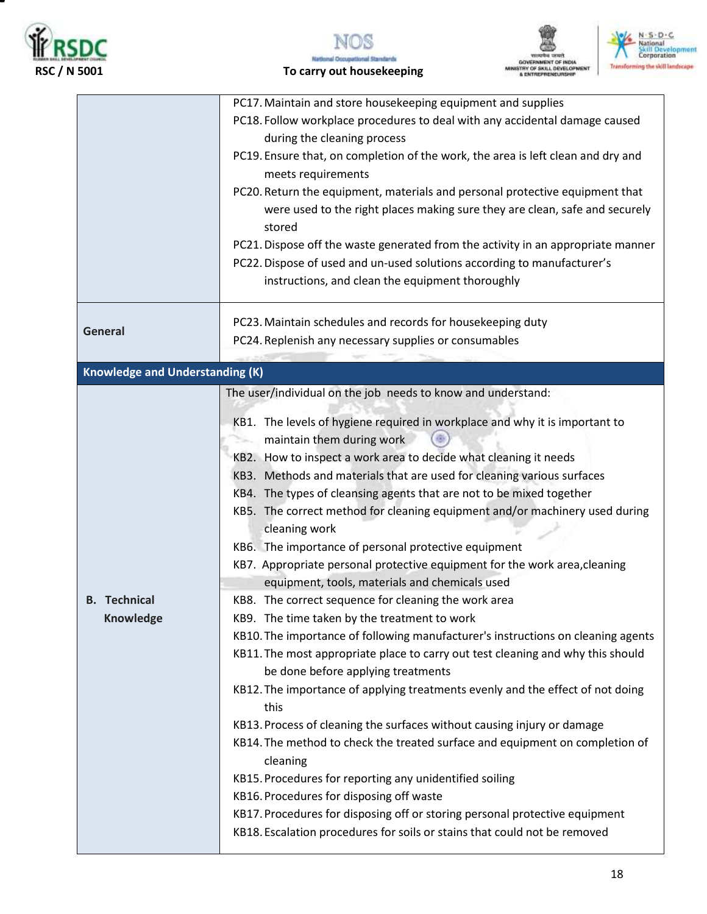







 **RSC / N 5001 To carry out housekeeping**

|                                        | PC17. Maintain and store housekeeping equipment and supplies                                                                                                                                                                                                                                                                                                                                                                                                                                                                                                         |  |  |  |  |
|----------------------------------------|----------------------------------------------------------------------------------------------------------------------------------------------------------------------------------------------------------------------------------------------------------------------------------------------------------------------------------------------------------------------------------------------------------------------------------------------------------------------------------------------------------------------------------------------------------------------|--|--|--|--|
|                                        | PC18. Follow workplace procedures to deal with any accidental damage caused                                                                                                                                                                                                                                                                                                                                                                                                                                                                                          |  |  |  |  |
|                                        | during the cleaning process                                                                                                                                                                                                                                                                                                                                                                                                                                                                                                                                          |  |  |  |  |
|                                        | PC19. Ensure that, on completion of the work, the area is left clean and dry and<br>meets requirements                                                                                                                                                                                                                                                                                                                                                                                                                                                               |  |  |  |  |
|                                        | PC20. Return the equipment, materials and personal protective equipment that<br>were used to the right places making sure they are clean, safe and securely<br>stored                                                                                                                                                                                                                                                                                                                                                                                                |  |  |  |  |
|                                        | PC21. Dispose off the waste generated from the activity in an appropriate manner                                                                                                                                                                                                                                                                                                                                                                                                                                                                                     |  |  |  |  |
|                                        | PC22. Dispose of used and un-used solutions according to manufacturer's                                                                                                                                                                                                                                                                                                                                                                                                                                                                                              |  |  |  |  |
|                                        | instructions, and clean the equipment thoroughly                                                                                                                                                                                                                                                                                                                                                                                                                                                                                                                     |  |  |  |  |
| <b>General</b>                         | PC23. Maintain schedules and records for housekeeping duty<br>PC24. Replenish any necessary supplies or consumables                                                                                                                                                                                                                                                                                                                                                                                                                                                  |  |  |  |  |
|                                        |                                                                                                                                                                                                                                                                                                                                                                                                                                                                                                                                                                      |  |  |  |  |
| <b>Knowledge and Understanding (K)</b> |                                                                                                                                                                                                                                                                                                                                                                                                                                                                                                                                                                      |  |  |  |  |
|                                        | The user/individual on the job needs to know and understand:                                                                                                                                                                                                                                                                                                                                                                                                                                                                                                         |  |  |  |  |
|                                        | KB1. The levels of hygiene required in workplace and why it is important to<br>maintain them during work<br>KB2. How to inspect a work area to decide what cleaning it needs<br>KB3. Methods and materials that are used for cleaning various surfaces<br>KB4. The types of cleansing agents that are not to be mixed together<br>KB5. The correct method for cleaning equipment and/or machinery used during<br>cleaning work<br>KB6. The importance of personal protective equipment<br>KB7. Appropriate personal protective equipment for the work area, cleaning |  |  |  |  |
|                                        | equipment, tools, materials and chemicals used                                                                                                                                                                                                                                                                                                                                                                                                                                                                                                                       |  |  |  |  |
| <b>B.</b> Technical                    | KB8. The correct sequence for cleaning the work area                                                                                                                                                                                                                                                                                                                                                                                                                                                                                                                 |  |  |  |  |
| <b>Knowledge</b>                       | KB9. The time taken by the treatment to work                                                                                                                                                                                                                                                                                                                                                                                                                                                                                                                         |  |  |  |  |
|                                        | KB10. The importance of following manufacturer's instructions on cleaning agents<br>KB11. The most appropriate place to carry out test cleaning and why this should<br>be done before applying treatments                                                                                                                                                                                                                                                                                                                                                            |  |  |  |  |
|                                        | KB12. The importance of applying treatments evenly and the effect of not doing<br>this                                                                                                                                                                                                                                                                                                                                                                                                                                                                               |  |  |  |  |
|                                        | KB13. Process of cleaning the surfaces without causing injury or damage<br>KB14. The method to check the treated surface and equipment on completion of<br>cleaning                                                                                                                                                                                                                                                                                                                                                                                                  |  |  |  |  |
|                                        | KB15. Procedures for reporting any unidentified soiling                                                                                                                                                                                                                                                                                                                                                                                                                                                                                                              |  |  |  |  |
|                                        | KB16. Procedures for disposing off waste                                                                                                                                                                                                                                                                                                                                                                                                                                                                                                                             |  |  |  |  |
|                                        | KB17. Procedures for disposing off or storing personal protective equipment<br>KB18. Escalation procedures for soils or stains that could not be removed                                                                                                                                                                                                                                                                                                                                                                                                             |  |  |  |  |
|                                        |                                                                                                                                                                                                                                                                                                                                                                                                                                                                                                                                                                      |  |  |  |  |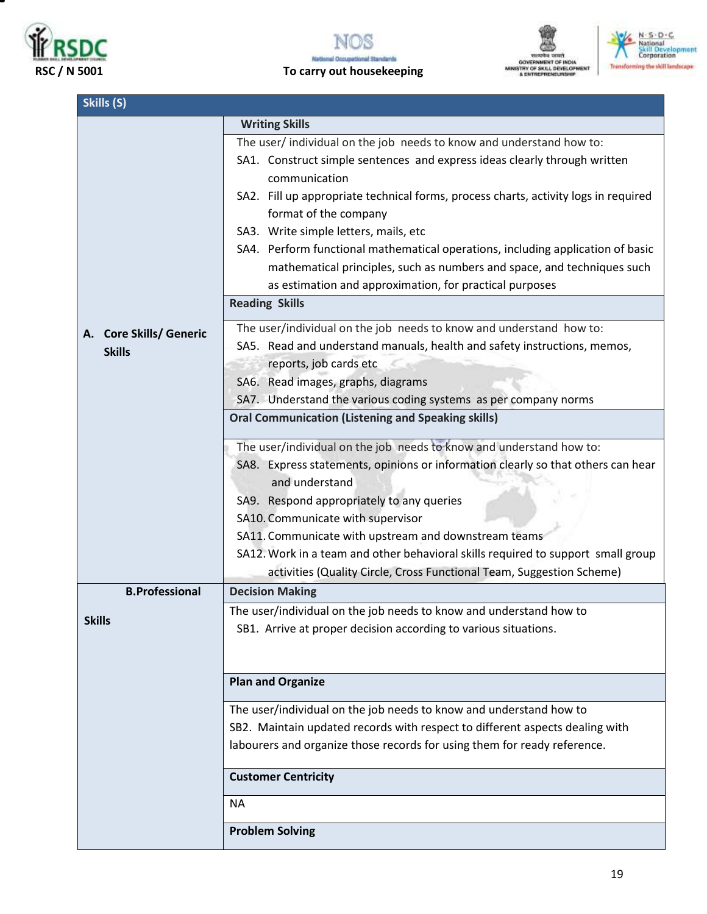







| Skills (S)              |                                                                                            |  |  |  |  |
|-------------------------|--------------------------------------------------------------------------------------------|--|--|--|--|
|                         | <b>Writing Skills</b>                                                                      |  |  |  |  |
|                         | The user/individual on the job needs to know and understand how to:                        |  |  |  |  |
|                         | SA1. Construct simple sentences and express ideas clearly through written<br>communication |  |  |  |  |
|                         | SA2. Fill up appropriate technical forms, process charts, activity logs in required        |  |  |  |  |
|                         | format of the company                                                                      |  |  |  |  |
|                         | SA3. Write simple letters, mails, etc                                                      |  |  |  |  |
|                         | SA4. Perform functional mathematical operations, including application of basic            |  |  |  |  |
|                         | mathematical principles, such as numbers and space, and techniques such                    |  |  |  |  |
|                         | as estimation and approximation, for practical purposes                                    |  |  |  |  |
|                         | <b>Reading Skills</b>                                                                      |  |  |  |  |
| A. Core Skills/ Generic | The user/individual on the job needs to know and understand how to:                        |  |  |  |  |
| <b>Skills</b>           | SA5. Read and understand manuals, health and safety instructions, memos,                   |  |  |  |  |
|                         | reports, job cards etc                                                                     |  |  |  |  |
|                         | SA6. Read images, graphs, diagrams                                                         |  |  |  |  |
|                         | SA7. Understand the various coding systems as per company norms                            |  |  |  |  |
|                         | <b>Oral Communication (Listening and Speaking skills)</b>                                  |  |  |  |  |
|                         | The user/individual on the job needs to know and understand how to:                        |  |  |  |  |
|                         | SA8. Express statements, opinions or information clearly so that others can hear           |  |  |  |  |
|                         | and understand                                                                             |  |  |  |  |
|                         | SA9. Respond appropriately to any queries                                                  |  |  |  |  |
|                         | SA10. Communicate with supervisor                                                          |  |  |  |  |
|                         | SA11. Communicate with upstream and downstream teams                                       |  |  |  |  |
|                         | SA12. Work in a team and other behavioral skills required to support small group           |  |  |  |  |
|                         | activities (Quality Circle, Cross Functional Team, Suggestion Scheme)                      |  |  |  |  |
| <b>B.Professional</b>   | <b>Decision Making</b>                                                                     |  |  |  |  |
| <b>Skills</b>           | The user/individual on the job needs to know and understand how to                         |  |  |  |  |
|                         | SB1. Arrive at proper decision according to various situations.                            |  |  |  |  |
|                         |                                                                                            |  |  |  |  |
|                         | <b>Plan and Organize</b>                                                                   |  |  |  |  |
|                         | The user/individual on the job needs to know and understand how to                         |  |  |  |  |
|                         | SB2. Maintain updated records with respect to different aspects dealing with               |  |  |  |  |
|                         | labourers and organize those records for using them for ready reference.                   |  |  |  |  |
|                         | <b>Customer Centricity</b>                                                                 |  |  |  |  |
|                         | <b>NA</b>                                                                                  |  |  |  |  |
|                         | <b>Problem Solving</b>                                                                     |  |  |  |  |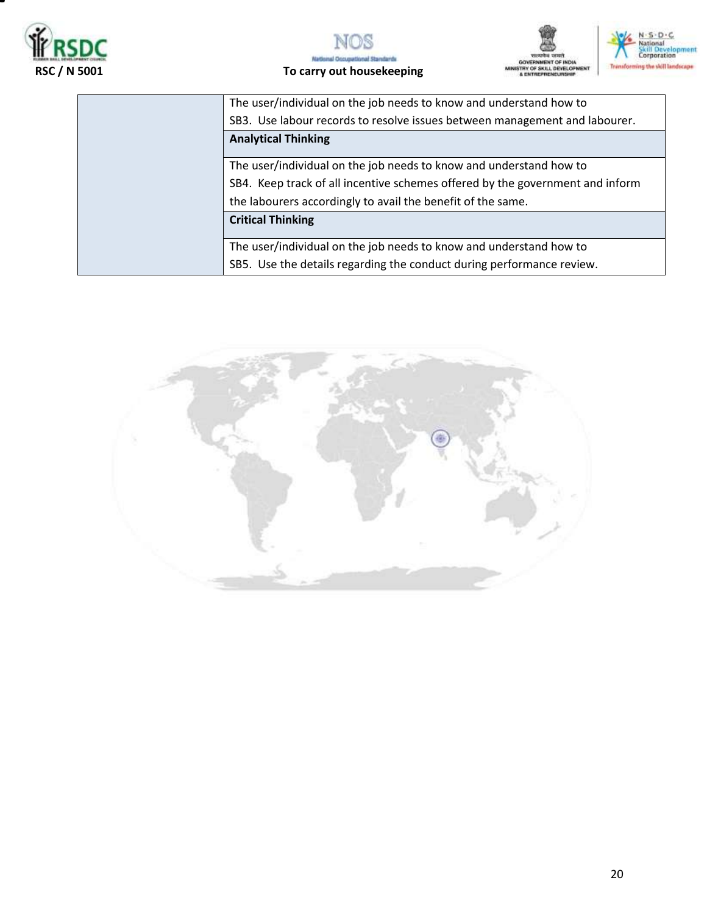







|                            | The user/individual on the job needs to know and understand how to            |  |  |  |
|----------------------------|-------------------------------------------------------------------------------|--|--|--|
|                            | SB3. Use labour records to resolve issues between management and labourer.    |  |  |  |
| <b>Analytical Thinking</b> |                                                                               |  |  |  |
|                            |                                                                               |  |  |  |
|                            | The user/individual on the job needs to know and understand how to            |  |  |  |
|                            | SB4. Keep track of all incentive schemes offered by the government and inform |  |  |  |
|                            | the labourers accordingly to avail the benefit of the same.                   |  |  |  |
|                            | <b>Critical Thinking</b>                                                      |  |  |  |
|                            |                                                                               |  |  |  |
|                            | The user/individual on the job needs to know and understand how to            |  |  |  |
|                            | SB5. Use the details regarding the conduct during performance review.         |  |  |  |

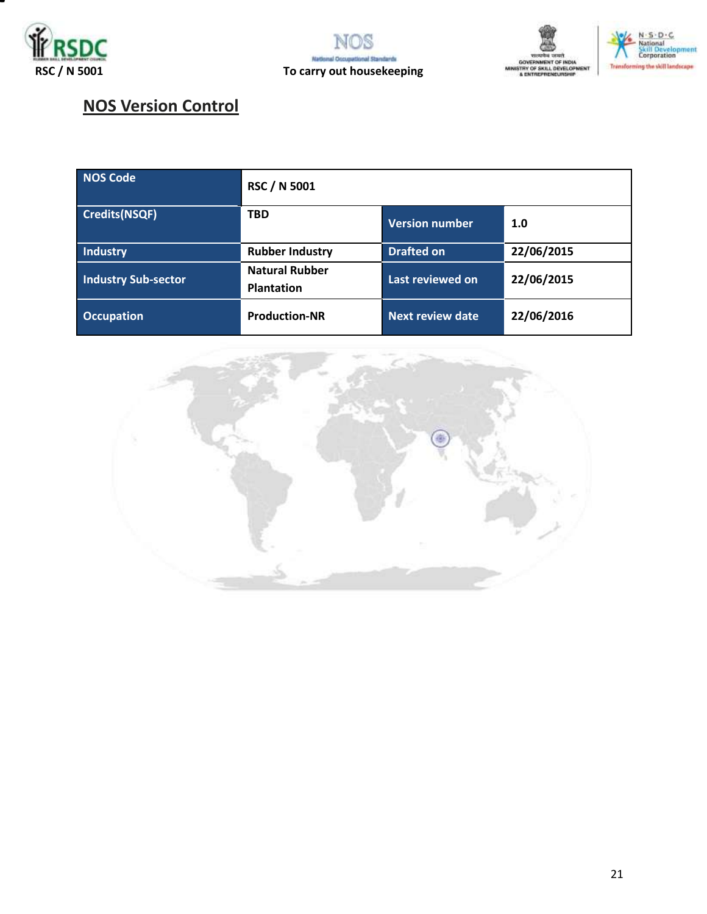







# **NOS Version Control**

| NOS Code                   | <b>RSC / N 5001</b>                        |                       |            |  |  |
|----------------------------|--------------------------------------------|-----------------------|------------|--|--|
| <b>Credits(NSQF)</b>       | <b>TBD</b>                                 | <b>Version number</b> | 1.0        |  |  |
| Industry                   | <b>Rubber Industry</b>                     | <b>Drafted on</b>     | 22/06/2015 |  |  |
| <b>Industry Sub-sector</b> | <b>Natural Rubber</b><br><b>Plantation</b> | Last reviewed on      | 22/06/2015 |  |  |
| <b>Occupation</b>          | <b>Production-NR</b>                       | Next review date      | 22/06/2016 |  |  |

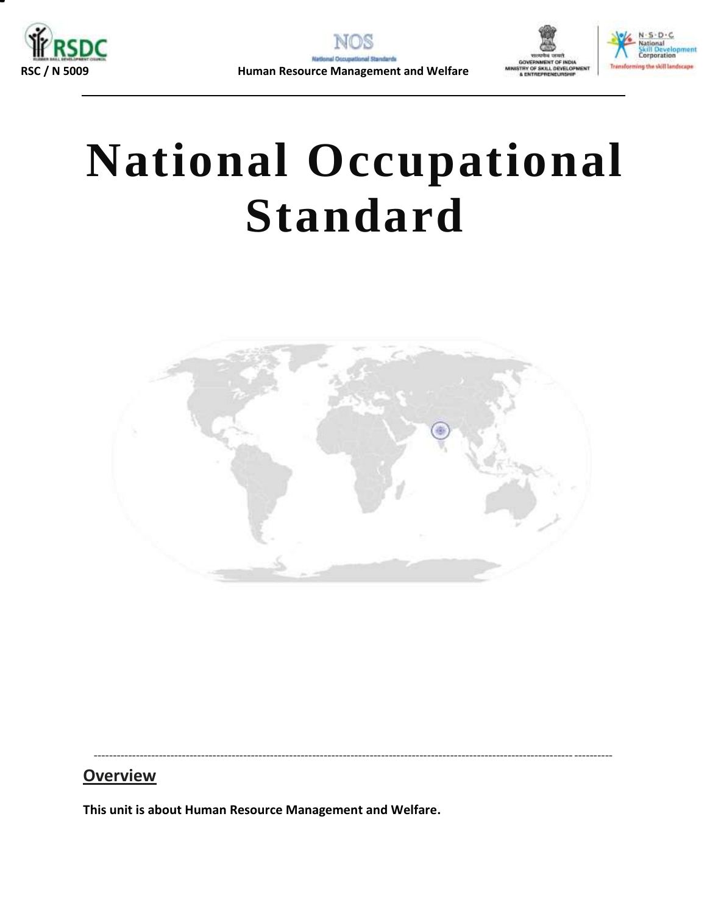





# **National Occupational Standard**

<span id="page-21-0"></span>

---------------------------------------------------------------------------------------------------------------------------------------

### **Overview**

**This unit is about Human Resource Management and Welfare.**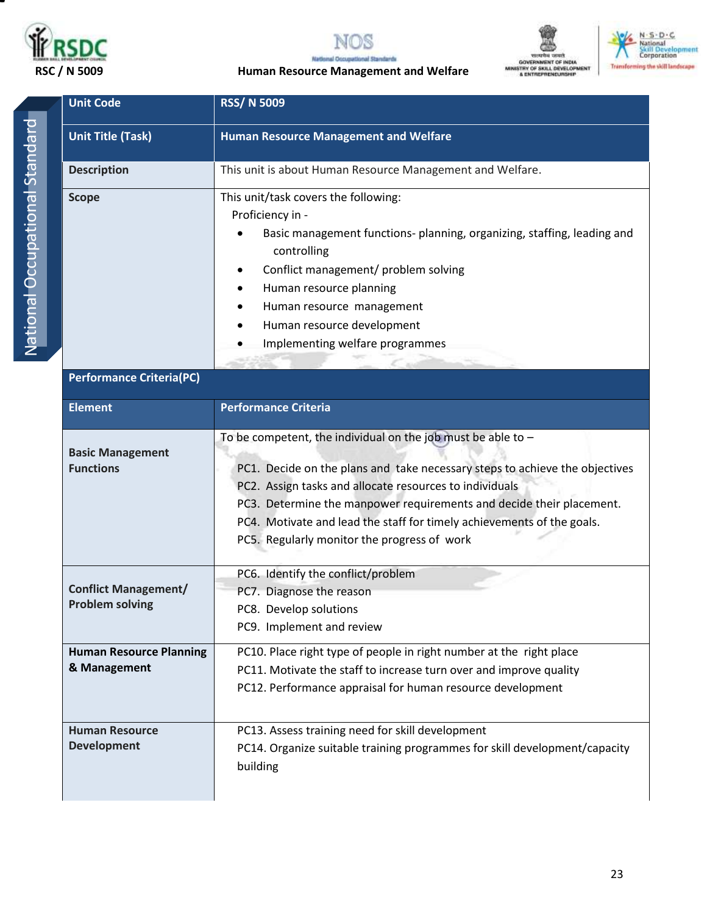

**Unit Code RSS/ N 5009** 







 **RSC / N 5009 Human Resource Management and Welfare**

| <b>Unit Title (Task)</b>                              | <b>Human Resource Management and Welfare</b>                                                                                                                                                                                                                                                                                                                                                              |  |  |  |
|-------------------------------------------------------|-----------------------------------------------------------------------------------------------------------------------------------------------------------------------------------------------------------------------------------------------------------------------------------------------------------------------------------------------------------------------------------------------------------|--|--|--|
| <b>Description</b>                                    | This unit is about Human Resource Management and Welfare.                                                                                                                                                                                                                                                                                                                                                 |  |  |  |
| <b>Scope</b>                                          | This unit/task covers the following:<br>Proficiency in -<br>Basic management functions- planning, organizing, staffing, leading and<br>controlling<br>Conflict management/ problem solving                                                                                                                                                                                                                |  |  |  |
|                                                       | Human resource planning<br>Human resource management<br>Human resource development<br>Implementing welfare programmes                                                                                                                                                                                                                                                                                     |  |  |  |
| <b>Performance Criteria(PC)</b>                       |                                                                                                                                                                                                                                                                                                                                                                                                           |  |  |  |
| <b>Element</b>                                        | <b>Performance Criteria</b>                                                                                                                                                                                                                                                                                                                                                                               |  |  |  |
| <b>Basic Management</b><br><b>Functions</b>           | To be competent, the individual on the job must be able to $-$<br>PC1. Decide on the plans and take necessary steps to achieve the objectives<br>PC2. Assign tasks and allocate resources to individuals<br>PC3. Determine the manpower requirements and decide their placement.<br>PC4. Motivate and lead the staff for timely achievements of the goals.<br>PC5. Regularly monitor the progress of work |  |  |  |
| <b>Conflict Management/</b><br><b>Problem solving</b> | PC6. Identify the conflict/problem<br>PC7. Diagnose the reason<br>PC8. Develop solutions<br>PC9. Implement and review                                                                                                                                                                                                                                                                                     |  |  |  |
| <b>Human Resource Planning</b><br>& Management        | PC10. Place right type of people in right number at the right place<br>PC11. Motivate the staff to increase turn over and improve quality<br>PC12. Performance appraisal for human resource development                                                                                                                                                                                                   |  |  |  |
| <b>Human Resource</b><br><b>Development</b>           | PC13. Assess training need for skill development<br>PC14. Organize suitable training programmes for skill development/capacity<br>building                                                                                                                                                                                                                                                                |  |  |  |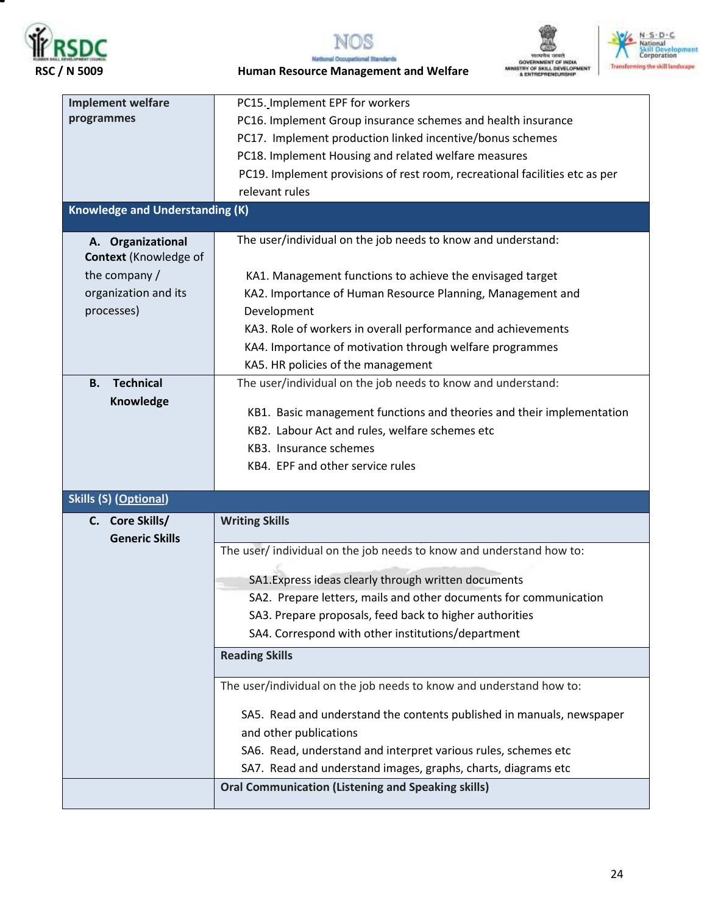

т



**National Occupat** al Standards





 **RSC / N 5009 Human Resource Management and Welfare**

| <b>Implement welfare</b>                          | PC15. Implement EPF for workers                                                                               |
|---------------------------------------------------|---------------------------------------------------------------------------------------------------------------|
| programmes                                        | PC16. Implement Group insurance schemes and health insurance                                                  |
|                                                   | PC17. Implement production linked incentive/bonus schemes                                                     |
|                                                   | PC18. Implement Housing and related welfare measures                                                          |
|                                                   | PC19. Implement provisions of rest room, recreational facilities etc as per                                   |
|                                                   | relevant rules                                                                                                |
| <b>Knowledge and Understanding (K)</b>            |                                                                                                               |
| A. Organizational<br><b>Context</b> (Knowledge of | The user/individual on the job needs to know and understand:                                                  |
| the company /                                     | KA1. Management functions to achieve the envisaged target                                                     |
| organization and its                              | KA2. Importance of Human Resource Planning, Management and                                                    |
| processes)                                        | Development                                                                                                   |
|                                                   | KA3. Role of workers in overall performance and achievements                                                  |
|                                                   | KA4. Importance of motivation through welfare programmes                                                      |
|                                                   | KA5. HR policies of the management                                                                            |
| <b>Technical</b><br><b>B.</b>                     | The user/individual on the job needs to know and understand:                                                  |
| Knowledge                                         |                                                                                                               |
|                                                   | KB1. Basic management functions and theories and their implementation                                         |
|                                                   | KB2. Labour Act and rules, welfare schemes etc                                                                |
|                                                   | KB3. Insurance schemes                                                                                        |
|                                                   | KB4. EPF and other service rules                                                                              |
| <b>Skills (S) (Optional)</b>                      |                                                                                                               |
| C. Core Skills/                                   | <b>Writing Skills</b>                                                                                         |
| <b>Generic Skills</b>                             |                                                                                                               |
|                                                   | The user/individual on the job needs to know and understand how to:                                           |
|                                                   |                                                                                                               |
|                                                   | SA1. Express ideas clearly through written documents                                                          |
|                                                   | SA2. Prepare letters, mails and other documents for communication                                             |
|                                                   | SA3. Prepare proposals, feed back to higher authorities<br>SA4. Correspond with other institutions/department |
|                                                   |                                                                                                               |
|                                                   | <b>Reading Skills</b>                                                                                         |
|                                                   | The user/individual on the job needs to know and understand how to:                                           |
|                                                   | SA5. Read and understand the contents published in manuals, newspaper                                         |
|                                                   | and other publications                                                                                        |
|                                                   | SA6. Read, understand and interpret various rules, schemes etc                                                |
|                                                   | SA7. Read and understand images, graphs, charts, diagrams etc                                                 |
|                                                   | <b>Oral Communication (Listening and Speaking skills)</b>                                                     |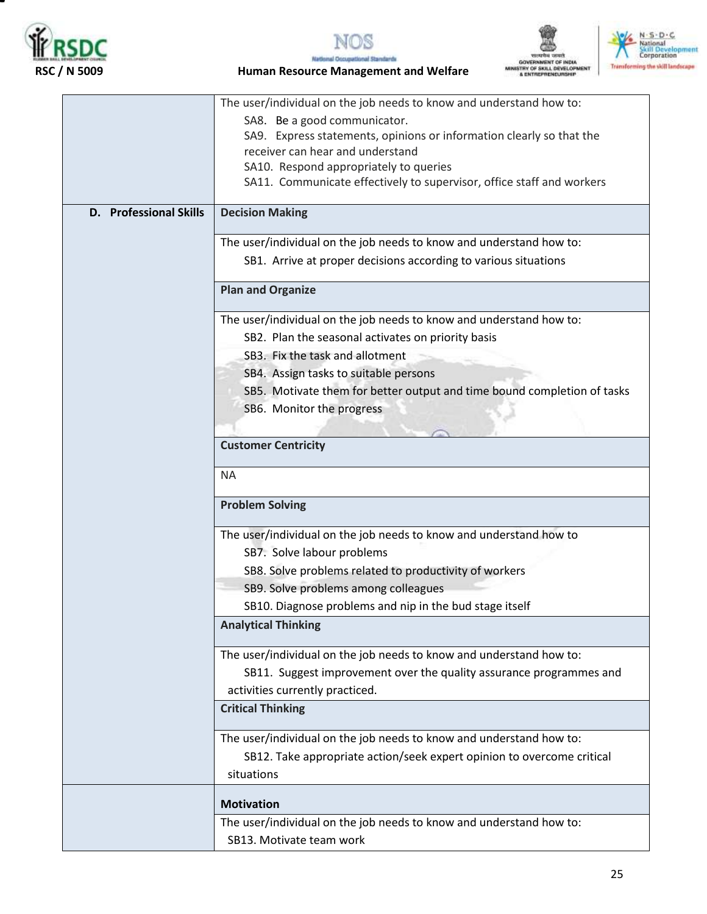

▀







**National Occupa** al Standards  **RSC / N 5009 Human Resource Management and Welfare**

|                               | The user/individual on the job needs to know and understand how to:     |
|-------------------------------|-------------------------------------------------------------------------|
|                               | SA8. Be a good communicator.                                            |
|                               | SA9. Express statements, opinions or information clearly so that the    |
|                               | receiver can hear and understand                                        |
|                               | SA10. Respond appropriately to queries                                  |
|                               | SA11. Communicate effectively to supervisor, office staff and workers   |
| <b>D.</b> Professional Skills | <b>Decision Making</b>                                                  |
|                               | The user/individual on the job needs to know and understand how to:     |
|                               | SB1. Arrive at proper decisions according to various situations         |
|                               |                                                                         |
|                               | <b>Plan and Organize</b>                                                |
|                               | The user/individual on the job needs to know and understand how to:     |
|                               | SB2. Plan the seasonal activates on priority basis                      |
|                               | SB3. Fix the task and allotment                                         |
|                               | SB4. Assign tasks to suitable persons                                   |
|                               | SB5. Motivate them for better output and time bound completion of tasks |
|                               | SB6. Monitor the progress                                               |
|                               |                                                                         |
|                               | <b>Customer Centricity</b>                                              |
|                               | <b>NA</b>                                                               |
|                               | <b>Problem Solving</b>                                                  |
|                               | The user/individual on the job needs to know and understand how to      |
|                               | SB7. Solve labour problems                                              |
|                               | SB8. Solve problems related to productivity of workers                  |
|                               | SB9. Solve problems among colleagues                                    |
|                               | SB10. Diagnose problems and nip in the bud stage itself                 |
|                               | <b>Analytical Thinking</b>                                              |
|                               | The user/individual on the job needs to know and understand how to:     |
|                               | SB11. Suggest improvement over the quality assurance programmes and     |
|                               | activities currently practiced.                                         |
|                               | <b>Critical Thinking</b>                                                |
|                               | The user/individual on the job needs to know and understand how to:     |
|                               | SB12. Take appropriate action/seek expert opinion to overcome critical  |
|                               | situations                                                              |
|                               | <b>Motivation</b>                                                       |
|                               | The user/individual on the job needs to know and understand how to:     |
|                               | SB13. Motivate team work                                                |
|                               |                                                                         |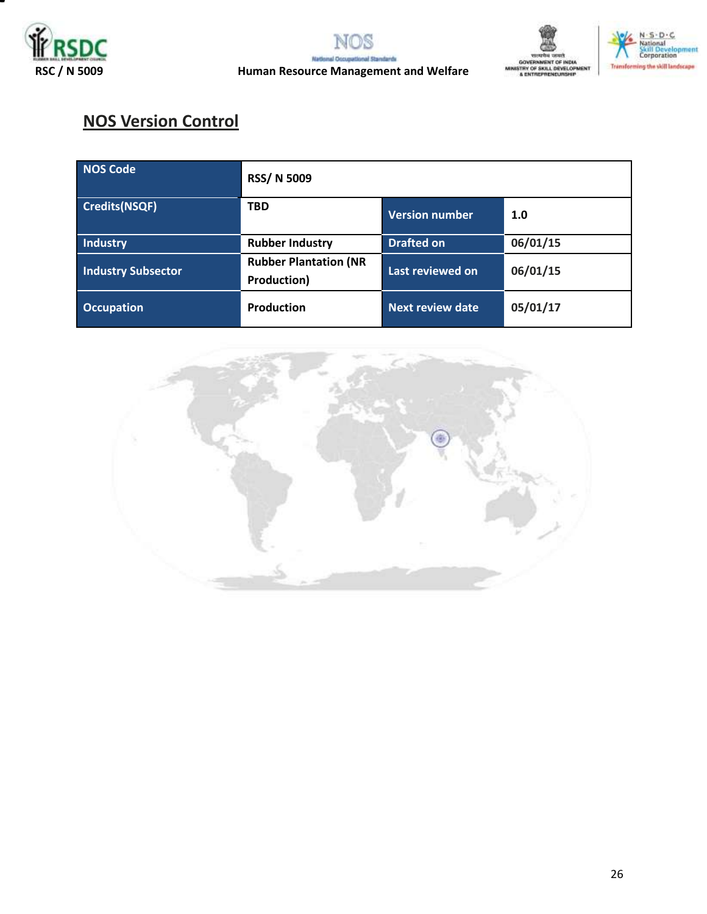





# **NOS Version Control**

| <b>NOS Code</b>           | <b>RSS/N 5009</b>                                  |                         |          |  |
|---------------------------|----------------------------------------------------|-------------------------|----------|--|
| <b>Credits(NSQF)</b>      | <b>TBD</b>                                         | <b>Version number</b>   | 1.0      |  |
| <b>Industry</b>           | <b>Rubber Industry</b>                             | <b>Drafted on</b>       | 06/01/15 |  |
| <b>Industry Subsector</b> | <b>Rubber Plantation (NR</b><br><b>Production)</b> | Last reviewed on        | 06/01/15 |  |
| <b>Occupation</b>         | <b>Production</b>                                  | <b>Next review date</b> | 05/01/17 |  |

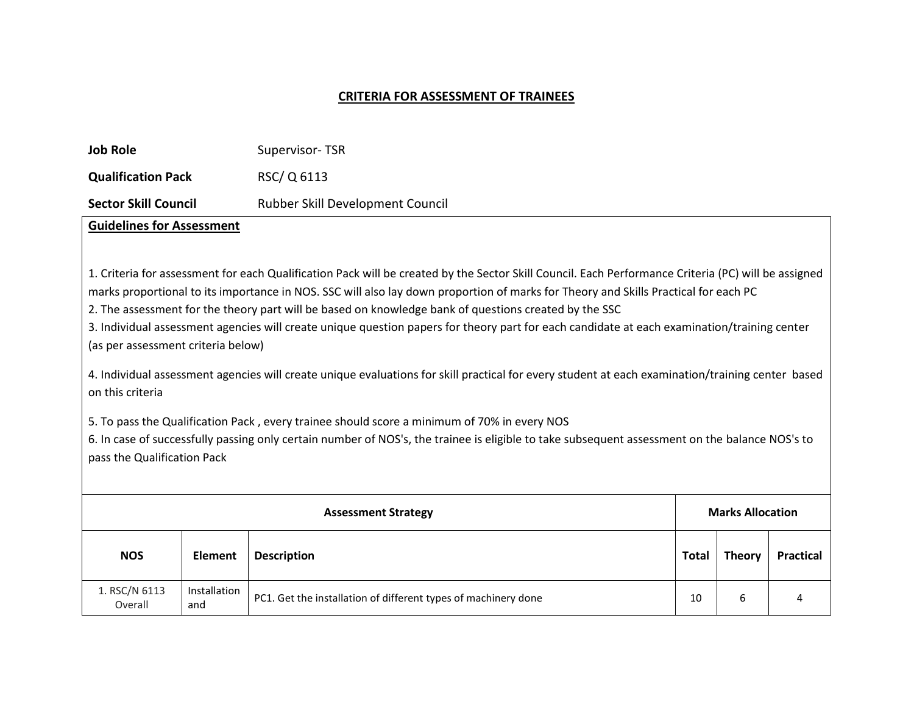#### **CRITERIA FOR ASSESSMENT OF TRAINEES**

| <b>Job Role</b>             | Supervisor-TSR                   |
|-----------------------------|----------------------------------|
| <b>Qualification Pack</b>   | RSC/Q 6113                       |
| <b>Sector Skill Council</b> | Rubber Skill Development Council |

### **Guidelines for Assessment**

1. Criteria for assessment for each Qualification Pack will be created by the Sector Skill Council. Each Performance Criteria (PC) will be assigned marks proportional to its importance in NOS. SSC will also lay down proportion of marks for Theory and Skills Practical for each PC

2. The assessment for the theory part will be based on knowledge bank of questions created by the SSC

3. Individual assessment agencies will create unique question papers for theory part for each candidate at each examination/training center (as per assessment criteria below)

4. Individual assessment agencies will create unique evaluations for skill practical for every student at each examination/training center based on this criteria

5. To pass the Qualification Pack , every trainee should score a minimum of 70% in every NOS

6. In case of successfully passing only certain number of NOS's, the trainee is eligible to take subsequent assessment on the balance NOS's to pass the Qualification Pack

| <b>Assessment Strategy</b> |                     |                                                                | <b>Marks Allocation</b> |               |                  |
|----------------------------|---------------------|----------------------------------------------------------------|-------------------------|---------------|------------------|
| <b>NOS</b>                 | <b>Element</b>      | <b>Description</b>                                             | <b>Total</b>            | <b>Theory</b> | <b>Practical</b> |
| 1. RSC/N 6113<br>Overall   | Installation<br>and | PC1. Get the installation of different types of machinery done | 10                      | 6             | 4                |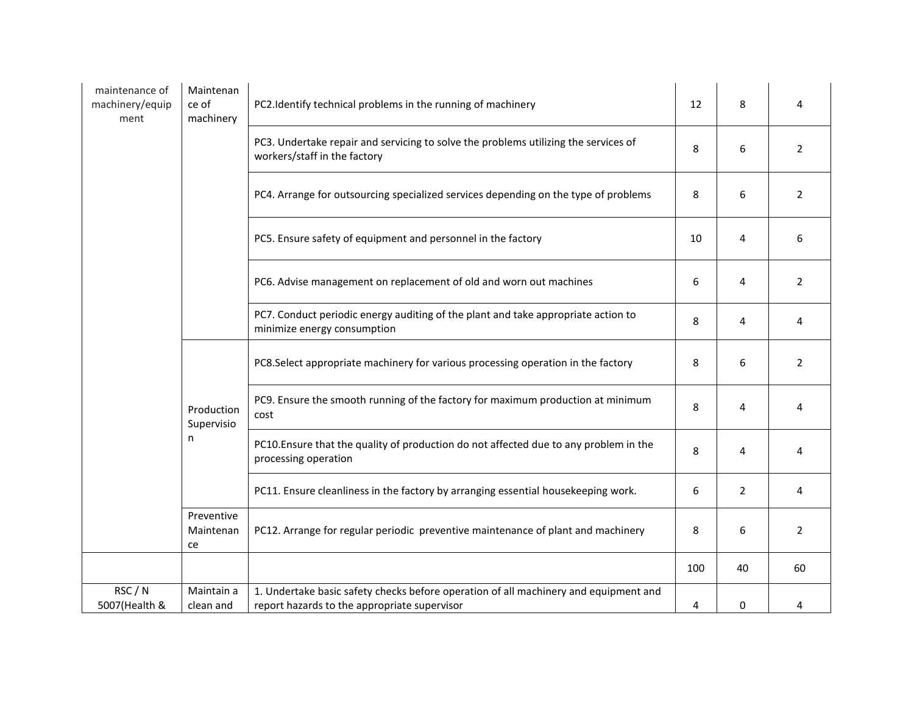| maintenance of<br>machinery/equip<br>ment | Maintenan<br>ce of<br>machinery       | PC2.Identify technical problems in the running of machinery                                                                          | 12  | 8              | 4              |
|-------------------------------------------|---------------------------------------|--------------------------------------------------------------------------------------------------------------------------------------|-----|----------------|----------------|
|                                           |                                       | PC3. Undertake repair and servicing to solve the problems utilizing the services of<br>workers/staff in the factory                  | 8   | 6              | 2              |
|                                           |                                       | PC4. Arrange for outsourcing specialized services depending on the type of problems                                                  | 8   | 6              | $\overline{2}$ |
|                                           |                                       | PC5. Ensure safety of equipment and personnel in the factory                                                                         | 10  | 4              | 6              |
|                                           |                                       | PC6. Advise management on replacement of old and worn out machines                                                                   | 6   | 4              | $\overline{2}$ |
|                                           |                                       | PC7. Conduct periodic energy auditing of the plant and take appropriate action to<br>minimize energy consumption                     | 8   | 4              | 4              |
|                                           | Production<br>cost<br>Supervisio<br>n | PC8.Select appropriate machinery for various processing operation in the factory                                                     | 8   | 6              | $\overline{2}$ |
|                                           |                                       | PC9. Ensure the smooth running of the factory for maximum production at minimum                                                      | 8   | 4              | 4              |
|                                           |                                       | PC10. Ensure that the quality of production do not affected due to any problem in the<br>processing operation                        | 8   | 4              | 4              |
|                                           |                                       | PC11. Ensure cleanliness in the factory by arranging essential housekeeping work.                                                    | 6   | $\overline{2}$ | 4              |
|                                           | Preventive<br>Maintenan<br>ce         | PC12. Arrange for regular periodic preventive maintenance of plant and machinery                                                     | 8   | 6              | $\overline{2}$ |
|                                           |                                       |                                                                                                                                      | 100 | 40             | 60             |
| RSC / N<br>5007(Health &                  | Maintain a<br>clean and               | 1. Undertake basic safety checks before operation of all machinery and equipment and<br>report hazards to the appropriate supervisor | 4   | 0              | 4              |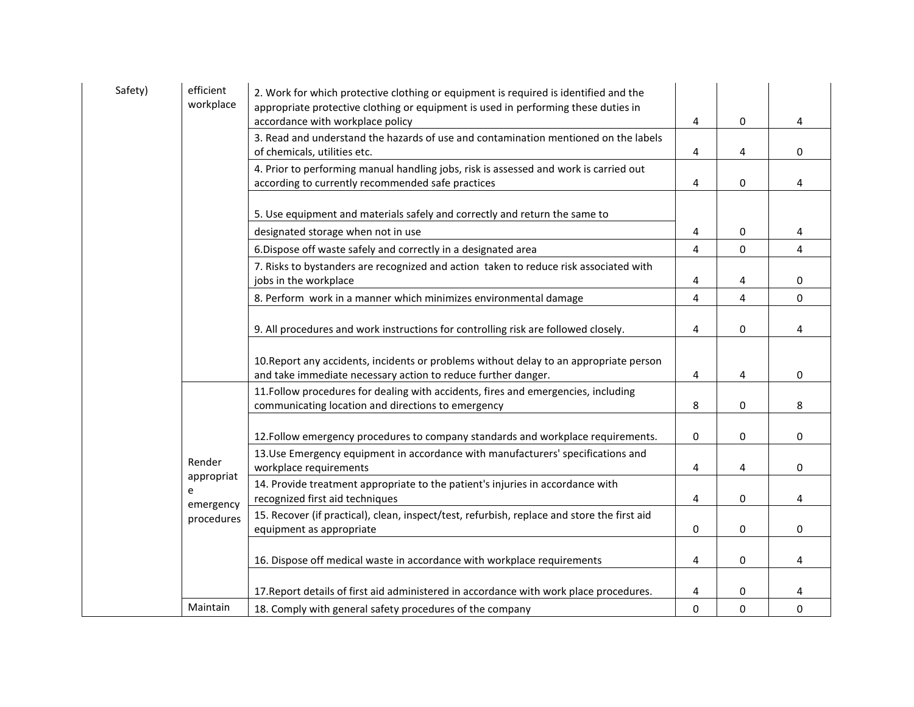| Safety) | efficient<br>workplace | 2. Work for which protective clothing or equipment is required is identified and the<br>appropriate protective clothing or equipment is used in performing these duties in<br>accordance with workplace policy | 4        | $\bf{0}$    | 4           |
|---------|------------------------|----------------------------------------------------------------------------------------------------------------------------------------------------------------------------------------------------------------|----------|-------------|-------------|
|         |                        | 3. Read and understand the hazards of use and contamination mentioned on the labels<br>of chemicals, utilities etc.                                                                                            | 4        | 4           | $\mathbf 0$ |
|         |                        | 4. Prior to performing manual handling jobs, risk is assessed and work is carried out<br>according to currently recommended safe practices                                                                     | 4        | 0           | 4           |
|         |                        | 5. Use equipment and materials safely and correctly and return the same to                                                                                                                                     |          |             |             |
|         |                        | designated storage when not in use                                                                                                                                                                             | 4        | 0           | 4           |
|         |                        | 6. Dispose off waste safely and correctly in a designated area                                                                                                                                                 | 4        | $\bf{0}$    | 4           |
|         |                        | 7. Risks to bystanders are recognized and action taken to reduce risk associated with<br>jobs in the workplace                                                                                                 | 4        | 4           | 0           |
|         |                        | 8. Perform work in a manner which minimizes environmental damage                                                                                                                                               | 4        | 4           | $\Omega$    |
|         |                        | 9. All procedures and work instructions for controlling risk are followed closely.                                                                                                                             | 4        | $\bf{0}$    | 4           |
|         |                        | 10. Report any accidents, incidents or problems without delay to an appropriate person<br>and take immediate necessary action to reduce further danger.                                                        | 4        | 4           | $\mathbf 0$ |
|         |                        | 11. Follow procedures for dealing with accidents, fires and emergencies, including<br>communicating location and directions to emergency                                                                       | 8        | 0           | 8           |
|         |                        | 12. Follow emergency procedures to company standards and workplace requirements.                                                                                                                               | 0        | $\mathbf 0$ | $\mathbf 0$ |
|         | Render<br>appropriat   | 13. Use Emergency equipment in accordance with manufacturers' specifications and<br>workplace requirements                                                                                                     | 4        | 4           | $\mathbf 0$ |
|         | e<br>emergency         | 14. Provide treatment appropriate to the patient's injuries in accordance with<br>recognized first aid techniques                                                                                              | 4        | 0           | 4           |
|         | procedures             | 15. Recover (if practical), clean, inspect/test, refurbish, replace and store the first aid<br>equipment as appropriate                                                                                        | 0        | $\mathbf 0$ | $\mathbf 0$ |
|         |                        | 16. Dispose off medical waste in accordance with workplace requirements                                                                                                                                        | 4        | 0           | 4           |
|         |                        | 17. Report details of first aid administered in accordance with work place procedures.                                                                                                                         | 4        | 0           | 4           |
|         | Maintain               | 18. Comply with general safety procedures of the company                                                                                                                                                       | $\Omega$ | $\mathbf 0$ | $\mathbf 0$ |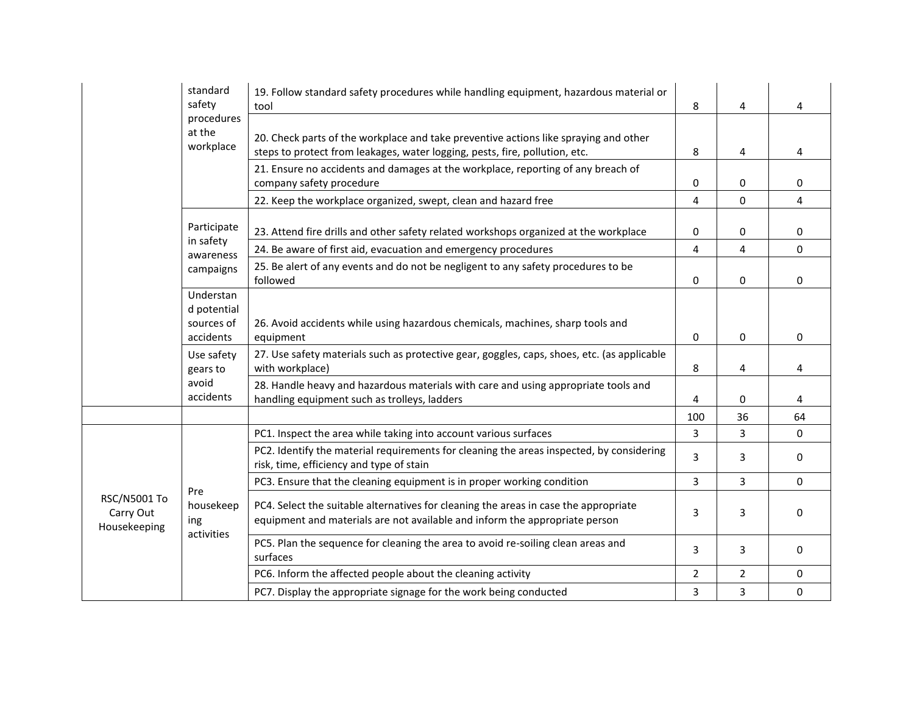|                                           | standard<br>safety<br>procedures<br>at the<br>workplace | 19. Follow standard safety procedures while handling equipment, hazardous material or<br>tool                                                                       | 8              | 4              | 4           |
|-------------------------------------------|---------------------------------------------------------|---------------------------------------------------------------------------------------------------------------------------------------------------------------------|----------------|----------------|-------------|
|                                           |                                                         | 20. Check parts of the workplace and take preventive actions like spraying and other<br>steps to protect from leakages, water logging, pests, fire, pollution, etc. | 8              | 4              | 4           |
|                                           |                                                         | 21. Ensure no accidents and damages at the workplace, reporting of any breach of<br>company safety procedure                                                        | 0              | 0              | 0           |
|                                           |                                                         | 22. Keep the workplace organized, swept, clean and hazard free                                                                                                      | 4              | $\mathbf 0$    | 4           |
|                                           | Participate<br>in safety<br>awareness                   | 23. Attend fire drills and other safety related workshops organized at the workplace                                                                                | 0              | $\mathbf 0$    | 0           |
|                                           |                                                         | 24. Be aware of first aid, evacuation and emergency procedures                                                                                                      | 4              | 4              | 0           |
|                                           | campaigns                                               | 25. Be alert of any events and do not be negligent to any safety procedures to be<br>followed                                                                       | 0              | $\Omega$       | 0           |
|                                           | Understan<br>d potential<br>sources of<br>accidents     | 26. Avoid accidents while using hazardous chemicals, machines, sharp tools and<br>equipment                                                                         | $\Omega$       | $\mathbf 0$    | $\mathbf 0$ |
|                                           | Use safety<br>gears to                                  | 27. Use safety materials such as protective gear, goggles, caps, shoes, etc. (as applicable<br>with workplace)                                                      | 8              | 4              | 4           |
|                                           | avoid<br>accidents                                      | 28. Handle heavy and hazardous materials with care and using appropriate tools and<br>handling equipment such as trolleys, ladders                                  | 4              | 0              | 4           |
|                                           |                                                         |                                                                                                                                                                     | 100            | 36             | 64          |
| RSC/N5001 To<br>Carry Out<br>Housekeeping | Pre<br>housekeep<br>ing<br>activities                   | PC1. Inspect the area while taking into account various surfaces                                                                                                    | 3              | 3              | $\mathbf 0$ |
|                                           |                                                         | PC2. Identify the material requirements for cleaning the areas inspected, by considering<br>risk, time, efficiency and type of stain                                | 3              | 3              | $\mathbf 0$ |
|                                           |                                                         | PC3. Ensure that the cleaning equipment is in proper working condition                                                                                              | $\overline{3}$ | 3              | $\Omega$    |
|                                           |                                                         | PC4. Select the suitable alternatives for cleaning the areas in case the appropriate<br>equipment and materials are not available and inform the appropriate person | 3              | 3              | $\Omega$    |
|                                           |                                                         | PC5. Plan the sequence for cleaning the area to avoid re-soiling clean areas and<br>surfaces                                                                        | 3              | 3              | $\mathbf 0$ |
|                                           |                                                         | PC6. Inform the affected people about the cleaning activity                                                                                                         | $\overline{2}$ | $\overline{2}$ | $\mathbf 0$ |
|                                           |                                                         | PC7. Display the appropriate signage for the work being conducted                                                                                                   | 3              | 3              | $\pmb{0}$   |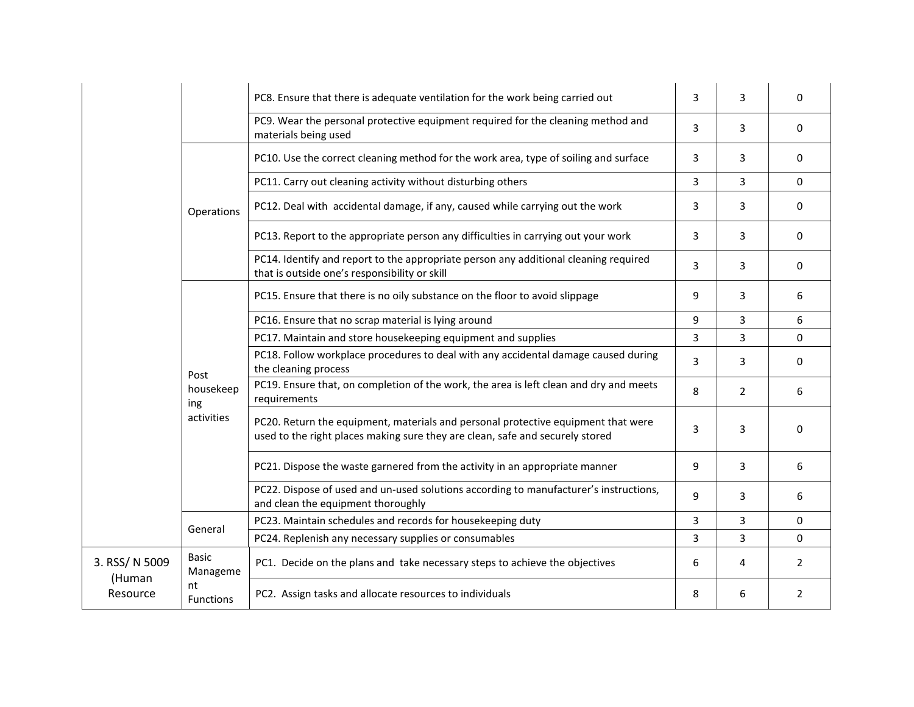|                                      |                                        | PC8. Ensure that there is adequate ventilation for the work being carried out                                                                                      | 3 | 3              | $\Omega$       |
|--------------------------------------|----------------------------------------|--------------------------------------------------------------------------------------------------------------------------------------------------------------------|---|----------------|----------------|
|                                      |                                        | PC9. Wear the personal protective equipment required for the cleaning method and<br>materials being used                                                           | 3 | 3              | $\Omega$       |
|                                      |                                        | PC10. Use the correct cleaning method for the work area, type of soiling and surface                                                                               | 3 | 3              | $\Omega$       |
|                                      |                                        | PC11. Carry out cleaning activity without disturbing others                                                                                                        | 3 | 3              | $\mathbf 0$    |
|                                      | Operations                             | PC12. Deal with accidental damage, if any, caused while carrying out the work                                                                                      | 3 | 3              | $\mathbf 0$    |
|                                      |                                        | PC13. Report to the appropriate person any difficulties in carrying out your work                                                                                  | 3 | 3              | 0              |
|                                      |                                        | PC14. Identify and report to the appropriate person any additional cleaning required<br>that is outside one's responsibility or skill                              | 3 | 3              | $\mathbf 0$    |
|                                      |                                        | PC15. Ensure that there is no oily substance on the floor to avoid slippage                                                                                        | 9 | 3              | 6              |
|                                      |                                        | PC16. Ensure that no scrap material is lying around                                                                                                                | 9 | 3              | 6              |
|                                      |                                        | PC17. Maintain and store housekeeping equipment and supplies                                                                                                       | 3 | 3              | $\Omega$       |
|                                      | Post<br>housekeep<br>ing<br>activities | PC18. Follow workplace procedures to deal with any accidental damage caused during<br>the cleaning process                                                         | 3 | 3              | $\Omega$       |
|                                      |                                        | PC19. Ensure that, on completion of the work, the area is left clean and dry and meets<br>requirements                                                             | 8 | $\overline{2}$ | 6              |
|                                      |                                        | PC20. Return the equipment, materials and personal protective equipment that were<br>used to the right places making sure they are clean, safe and securely stored | 3 | 3              | $\Omega$       |
|                                      |                                        | PC21. Dispose the waste garnered from the activity in an appropriate manner                                                                                        | 9 | 3              | 6              |
|                                      |                                        | PC22. Dispose of used and un-used solutions according to manufacturer's instructions,<br>and clean the equipment thoroughly                                        | 9 | 3              | 6              |
|                                      | General                                | PC23. Maintain schedules and records for housekeeping duty                                                                                                         | 3 | 3              | $\Omega$       |
|                                      |                                        | PC24. Replenish any necessary supplies or consumables                                                                                                              | 3 | 3              | $\Omega$       |
| 3. RSS/ N 5009<br>(Human<br>Resource | <b>Basic</b><br>Manageme               | PC1. Decide on the plans and take necessary steps to achieve the objectives                                                                                        | 6 | 4              | 2              |
|                                      | nt<br><b>Functions</b>                 | PC2. Assign tasks and allocate resources to individuals                                                                                                            | 8 | 6              | $\overline{2}$ |